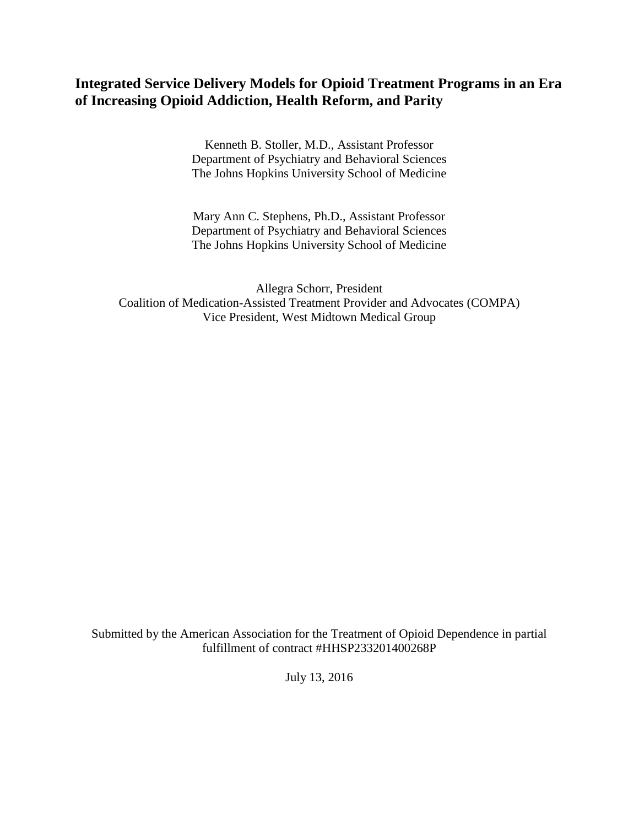# **Integrated Service Delivery Models for Opioid Treatment Programs in an Era of Increasing Opioid Addiction, Health Reform, and Parity**

Kenneth B. Stoller, M.D., Assistant Professor Department of Psychiatry and Behavioral Sciences The Johns Hopkins University School of Medicine

Mary Ann C. Stephens, Ph.D., Assistant Professor Department of Psychiatry and Behavioral Sciences The Johns Hopkins University School of Medicine

Allegra Schorr, President Coalition of Medication-Assisted Treatment Provider and Advocates (COMPA) Vice President, West Midtown Medical Group

Submitted by the American Association for the Treatment of Opioid Dependence in partial fulfillment of contract #HHSP233201400268P

July 13, 2016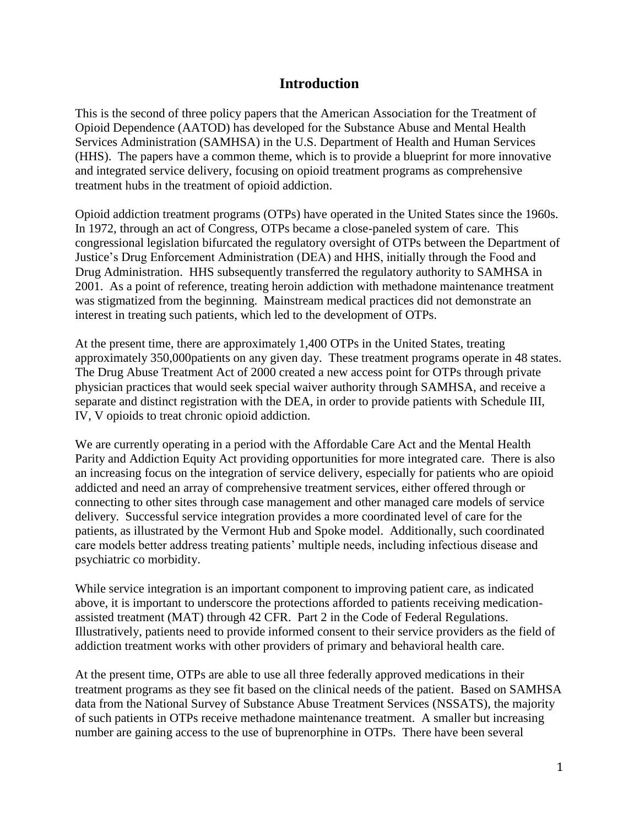## **Introduction**

This is the second of three policy papers that the American Association for the Treatment of Opioid Dependence (AATOD) has developed for the Substance Abuse and Mental Health Services Administration (SAMHSA) in the U.S. Department of Health and Human Services (HHS). The papers have a common theme, which is to provide a blueprint for more innovative and integrated service delivery, focusing on opioid treatment programs as comprehensive treatment hubs in the treatment of opioid addiction.

Opioid addiction treatment programs (OTPs) have operated in the United States since the 1960s. In 1972, through an act of Congress, OTPs became a close-paneled system of care. This congressional legislation bifurcated the regulatory oversight of OTPs between the Department of Justice's Drug Enforcement Administration (DEA) and HHS, initially through the Food and Drug Administration. HHS subsequently transferred the regulatory authority to SAMHSA in 2001. As a point of reference, treating heroin addiction with methadone maintenance treatment was stigmatized from the beginning. Mainstream medical practices did not demonstrate an interest in treating such patients, which led to the development of OTPs.

At the present time, there are approximately 1,400 OTPs in the United States, treating approximately 350,000patients on any given day. These treatment programs operate in 48 states. The Drug Abuse Treatment Act of 2000 created a new access point for OTPs through private physician practices that would seek special waiver authority through SAMHSA, and receive a separate and distinct registration with the DEA, in order to provide patients with Schedule III, IV, V opioids to treat chronic opioid addiction.

We are currently operating in a period with the Affordable Care Act and the Mental Health Parity and Addiction Equity Act providing opportunities for more integrated care. There is also an increasing focus on the integration of service delivery, especially for patients who are opioid addicted and need an array of comprehensive treatment services, either offered through or connecting to other sites through case management and other managed care models of service delivery. Successful service integration provides a more coordinated level of care for the patients, as illustrated by the Vermont Hub and Spoke model. Additionally, such coordinated care models better address treating patients' multiple needs, including infectious disease and psychiatric co morbidity.

While service integration is an important component to improving patient care, as indicated above, it is important to underscore the protections afforded to patients receiving medicationassisted treatment (MAT) through 42 CFR. Part 2 in the Code of Federal Regulations. Illustratively, patients need to provide informed consent to their service providers as the field of addiction treatment works with other providers of primary and behavioral health care.

At the present time, OTPs are able to use all three federally approved medications in their treatment programs as they see fit based on the clinical needs of the patient. Based on SAMHSA data from the National Survey of Substance Abuse Treatment Services (NSSATS), the majority of such patients in OTPs receive methadone maintenance treatment. A smaller but increasing number are gaining access to the use of buprenorphine in OTPs. There have been several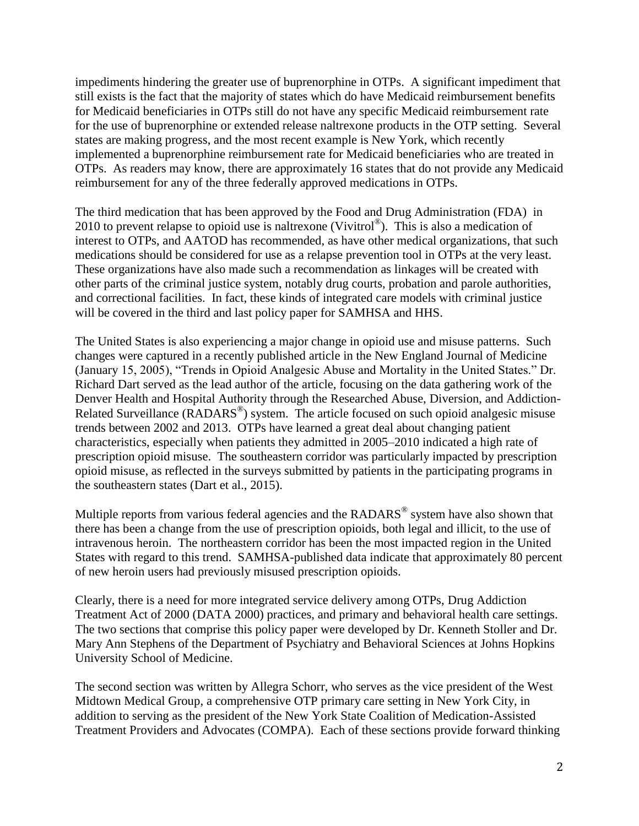impediments hindering the greater use of buprenorphine in OTPs. A significant impediment that still exists is the fact that the majority of states which do have Medicaid reimbursement benefits for Medicaid beneficiaries in OTPs still do not have any specific Medicaid reimbursement rate for the use of buprenorphine or extended release naltrexone products in the OTP setting. Several states are making progress, and the most recent example is New York, which recently implemented a buprenorphine reimbursement rate for Medicaid beneficiaries who are treated in OTPs. As readers may know, there are approximately 16 states that do not provide any Medicaid reimbursement for any of the three federally approved medications in OTPs.

The third medication that has been approved by the Food and Drug Administration (FDA) in 2010 to prevent relapse to opioid use is naltrexone (Vivitrol® ). This is also a medication of interest to OTPs, and AATOD has recommended, as have other medical organizations, that such medications should be considered for use as a relapse prevention tool in OTPs at the very least. These organizations have also made such a recommendation as linkages will be created with other parts of the criminal justice system, notably drug courts, probation and parole authorities, and correctional facilities. In fact, these kinds of integrated care models with criminal justice will be covered in the third and last policy paper for SAMHSA and HHS.

The United States is also experiencing a major change in opioid use and misuse patterns. Such changes were captured in a recently published article in the New England Journal of Medicine (January 15, 2005), "Trends in Opioid Analgesic Abuse and Mortality in the United States." Dr. Richard Dart served as the lead author of the article, focusing on the data gathering work of the Denver Health and Hospital Authority through the Researched Abuse, Diversion, and Addiction-Related Surveillance (RADARS<sup>®</sup>) system. The article focused on such opioid analgesic misuse trends between 2002 and 2013. OTPs have learned a great deal about changing patient characteristics, especially when patients they admitted in 2005–2010 indicated a high rate of prescription opioid misuse. The southeastern corridor was particularly impacted by prescription opioid misuse, as reflected in the surveys submitted by patients in the participating programs in the southeastern states (Dart et al., 2015).

Multiple reports from various federal agencies and the  $\text{RADARS}^{\circledast}$  system have also shown that there has been a change from the use of prescription opioids, both legal and illicit, to the use of intravenous heroin. The northeastern corridor has been the most impacted region in the United States with regard to this trend. SAMHSA-published data indicate that approximately 80 percent of new heroin users had previously misused prescription opioids.

Clearly, there is a need for more integrated service delivery among OTPs, Drug Addiction Treatment Act of 2000 (DATA 2000) practices, and primary and behavioral health care settings. The two sections that comprise this policy paper were developed by Dr. Kenneth Stoller and Dr. Mary Ann Stephens of the Department of Psychiatry and Behavioral Sciences at Johns Hopkins University School of Medicine.

The second section was written by Allegra Schorr, who serves as the vice president of the West Midtown Medical Group, a comprehensive OTP primary care setting in New York City, in addition to serving as the president of the New York State Coalition of Medication-Assisted Treatment Providers and Advocates (COMPA). Each of these sections provide forward thinking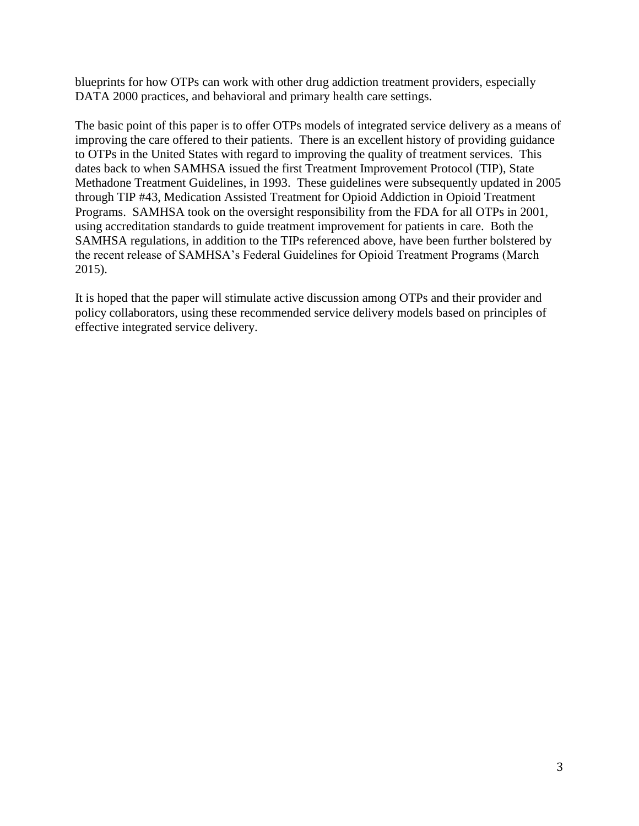blueprints for how OTPs can work with other drug addiction treatment providers, especially DATA 2000 practices, and behavioral and primary health care settings.

The basic point of this paper is to offer OTPs models of integrated service delivery as a means of improving the care offered to their patients. There is an excellent history of providing guidance to OTPs in the United States with regard to improving the quality of treatment services. This dates back to when SAMHSA issued the first Treatment Improvement Protocol (TIP), State Methadone Treatment Guidelines, in 1993. These guidelines were subsequently updated in 2005 through TIP #43, Medication Assisted Treatment for Opioid Addiction in Opioid Treatment Programs. SAMHSA took on the oversight responsibility from the FDA for all OTPs in 2001, using accreditation standards to guide treatment improvement for patients in care. Both the SAMHSA regulations, in addition to the TIPs referenced above, have been further bolstered by the recent release of SAMHSA's Federal Guidelines for Opioid Treatment Programs (March 2015).

It is hoped that the paper will stimulate active discussion among OTPs and their provider and policy collaborators, using these recommended service delivery models based on principles of effective integrated service delivery.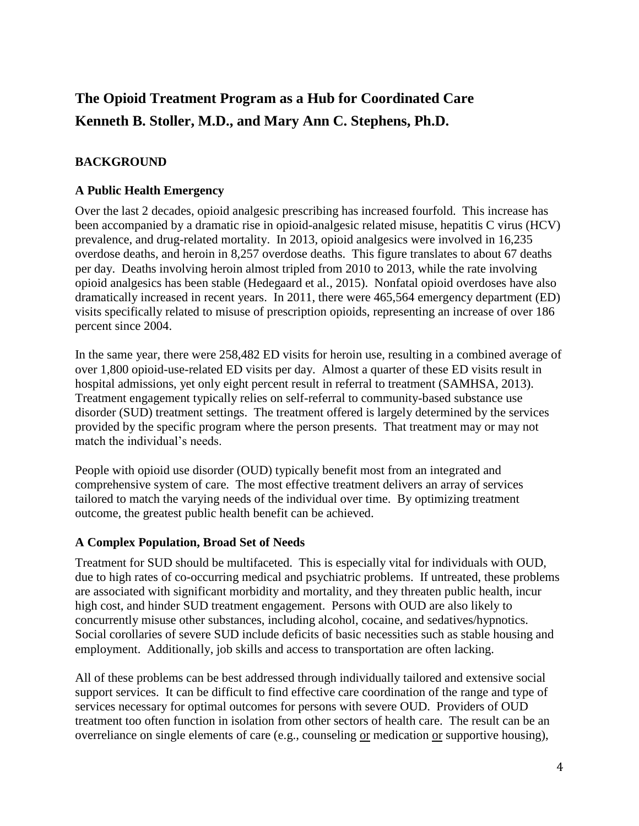# **The Opioid Treatment Program as a Hub for Coordinated Care Kenneth B. Stoller, M.D., and Mary Ann C. Stephens, Ph.D.**

## **BACKGROUND**

#### **A Public Health Emergency**

Over the last 2 decades, opioid analgesic prescribing has increased fourfold. This increase has been accompanied by a dramatic rise in opioid-analgesic related misuse, hepatitis C virus (HCV) prevalence, and drug-related mortality. In 2013, opioid analgesics were involved in 16,235 overdose deaths, and heroin in 8,257 overdose deaths. This figure translates to about 67 deaths per day. Deaths involving heroin almost tripled from 2010 to 2013, while the rate involving opioid analgesics has been stable (Hedegaard et al., 2015). Nonfatal opioid overdoses have also dramatically increased in recent years. In 2011, there were 465,564 emergency department (ED) visits specifically related to misuse of prescription opioids, representing an increase of over 186 percent since 2004.

In the same year, there were 258,482 ED visits for heroin use, resulting in a combined average of over 1,800 opioid-use-related ED visits per day. Almost a quarter of these ED visits result in hospital admissions, yet only eight percent result in referral to treatment (SAMHSA, 2013). Treatment engagement typically relies on self-referral to community-based substance use disorder (SUD) treatment settings. The treatment offered is largely determined by the services provided by the specific program where the person presents. That treatment may or may not match the individual's needs.

People with opioid use disorder (OUD) typically benefit most from an integrated and comprehensive system of care. The most effective treatment delivers an array of services tailored to match the varying needs of the individual over time. By optimizing treatment outcome, the greatest public health benefit can be achieved.

#### **A Complex Population, Broad Set of Needs**

Treatment for SUD should be multifaceted. This is especially vital for individuals with OUD, due to high rates of co-occurring medical and psychiatric problems. If untreated, these problems are associated with significant morbidity and mortality, and they threaten public health, incur high cost, and hinder SUD treatment engagement. Persons with OUD are also likely to concurrently misuse other substances, including alcohol, cocaine, and sedatives/hypnotics. Social corollaries of severe SUD include deficits of basic necessities such as stable housing and employment. Additionally, job skills and access to transportation are often lacking.

All of these problems can be best addressed through individually tailored and extensive social support services. It can be difficult to find effective care coordination of the range and type of services necessary for optimal outcomes for persons with severe OUD. Providers of OUD treatment too often function in isolation from other sectors of health care. The result can be an overreliance on single elements of care (e.g., counseling or medication or supportive housing),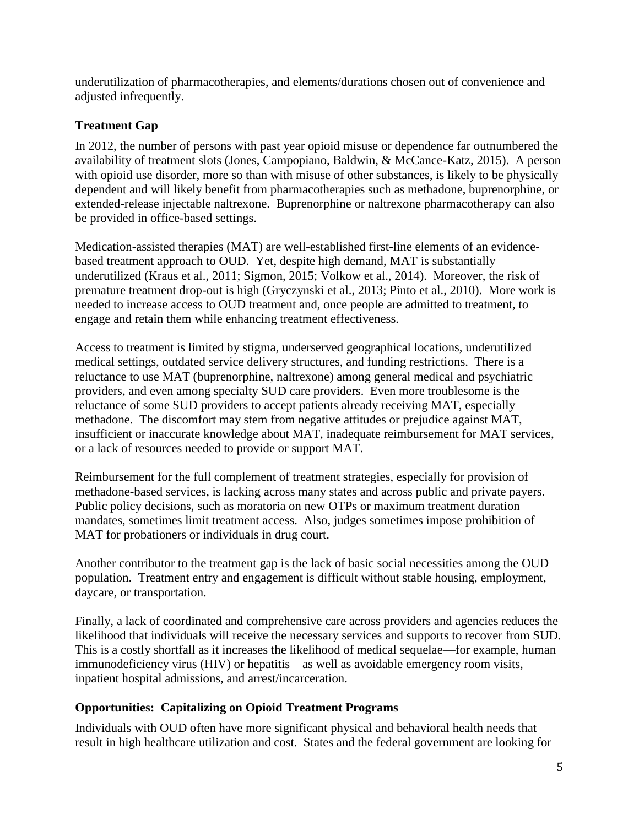underutilization of pharmacotherapies, and elements/durations chosen out of convenience and adjusted infrequently.

## **Treatment Gap**

In 2012, the number of persons with past year opioid misuse or dependence far outnumbered the availability of treatment slots (Jones, Campopiano, Baldwin, & McCance-Katz, 2015). A person with opioid use disorder, more so than with misuse of other substances, is likely to be physically dependent and will likely benefit from pharmacotherapies such as methadone, buprenorphine, or extended-release injectable naltrexone. Buprenorphine or naltrexone pharmacotherapy can also be provided in office-based settings.

Medication-assisted therapies (MAT) are well-established first-line elements of an evidencebased treatment approach to OUD. Yet, despite high demand, MAT is substantially underutilized (Kraus et al., 2011; Sigmon, 2015; Volkow et al., 2014). Moreover, the risk of premature treatment drop-out is high (Gryczynski et al., 2013; Pinto et al., 2010). More work is needed to increase access to OUD treatment and, once people are admitted to treatment, to engage and retain them while enhancing treatment effectiveness.

Access to treatment is limited by stigma, underserved geographical locations, underutilized medical settings, outdated service delivery structures, and funding restrictions. There is a reluctance to use MAT (buprenorphine, naltrexone) among general medical and psychiatric providers, and even among specialty SUD care providers. Even more troublesome is the reluctance of some SUD providers to accept patients already receiving MAT, especially methadone. The discomfort may stem from negative attitudes or prejudice against MAT, insufficient or inaccurate knowledge about MAT, inadequate reimbursement for MAT services, or a lack of resources needed to provide or support MAT.

Reimbursement for the full complement of treatment strategies, especially for provision of methadone-based services, is lacking across many states and across public and private payers. Public policy decisions, such as moratoria on new OTPs or maximum treatment duration mandates, sometimes limit treatment access. Also, judges sometimes impose prohibition of MAT for probationers or individuals in drug court.

Another contributor to the treatment gap is the lack of basic social necessities among the OUD population. Treatment entry and engagement is difficult without stable housing, employment, daycare, or transportation.

Finally, a lack of coordinated and comprehensive care across providers and agencies reduces the likelihood that individuals will receive the necessary services and supports to recover from SUD. This is a costly shortfall as it increases the likelihood of medical sequelae—for example, human immunodeficiency virus (HIV) or hepatitis—as well as avoidable emergency room visits, inpatient hospital admissions, and arrest/incarceration.

## **Opportunities: Capitalizing on Opioid Treatment Programs**

Individuals with OUD often have more significant physical and behavioral health needs that result in high healthcare utilization and cost. States and the federal government are looking for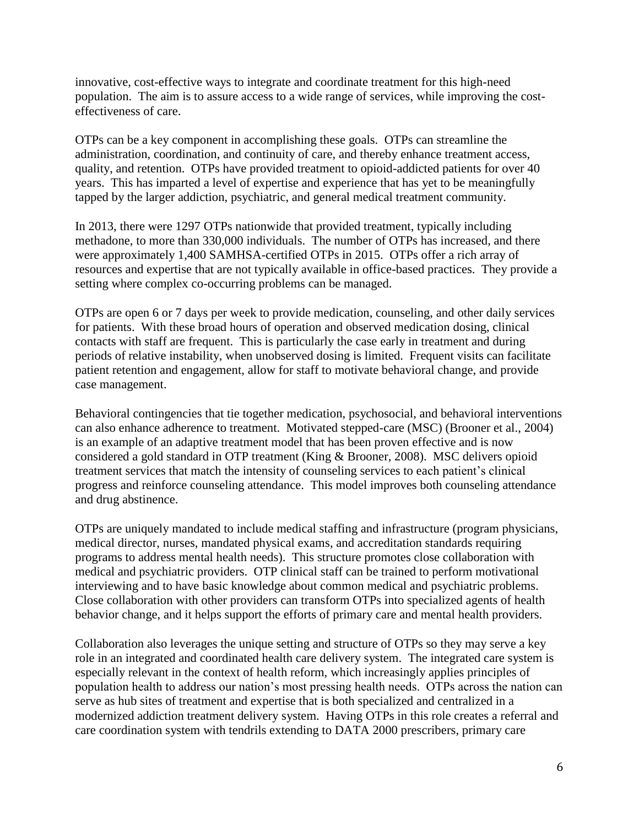innovative, cost-effective ways to integrate and coordinate treatment for this high-need population. The aim is to assure access to a wide range of services, while improving the costeffectiveness of care.

OTPs can be a key component in accomplishing these goals. OTPs can streamline the administration, coordination, and continuity of care, and thereby enhance treatment access, quality, and retention. OTPs have provided treatment to opioid-addicted patients for over 40 years. This has imparted a level of expertise and experience that has yet to be meaningfully tapped by the larger addiction, psychiatric, and general medical treatment community.

In 2013, there were 1297 OTPs nationwide that provided treatment, typically including methadone, to more than 330,000 individuals. The number of OTPs has increased, and there were approximately 1,400 SAMHSA-certified OTPs in 2015. OTPs offer a rich array of resources and expertise that are not typically available in office-based practices. They provide a setting where complex co-occurring problems can be managed.

OTPs are open 6 or 7 days per week to provide medication, counseling, and other daily services for patients. With these broad hours of operation and observed medication dosing, clinical contacts with staff are frequent. This is particularly the case early in treatment and during periods of relative instability, when unobserved dosing is limited. Frequent visits can facilitate patient retention and engagement, allow for staff to motivate behavioral change, and provide case management.

Behavioral contingencies that tie together medication, psychosocial, and behavioral interventions can also enhance adherence to treatment. Motivated stepped-care (MSC) (Brooner et al., 2004) is an example of an adaptive treatment model that has been proven effective and is now considered a gold standard in OTP treatment (King & Brooner, 2008). MSC delivers opioid treatment services that match the intensity of counseling services to each patient's clinical progress and reinforce counseling attendance. This model improves both counseling attendance and drug abstinence.

OTPs are uniquely mandated to include medical staffing and infrastructure (program physicians, medical director, nurses, mandated physical exams, and accreditation standards requiring programs to address mental health needs). This structure promotes close collaboration with medical and psychiatric providers. OTP clinical staff can be trained to perform motivational interviewing and to have basic knowledge about common medical and psychiatric problems. Close collaboration with other providers can transform OTPs into specialized agents of health behavior change, and it helps support the efforts of primary care and mental health providers.

Collaboration also leverages the unique setting and structure of OTPs so they may serve a key role in an integrated and coordinated health care delivery system. The integrated care system is especially relevant in the context of health reform, which increasingly applies principles of population health to address our nation's most pressing health needs. OTPs across the nation can serve as hub sites of treatment and expertise that is both specialized and centralized in a modernized addiction treatment delivery system. Having OTPs in this role creates a referral and care coordination system with tendrils extending to DATA 2000 prescribers, primary care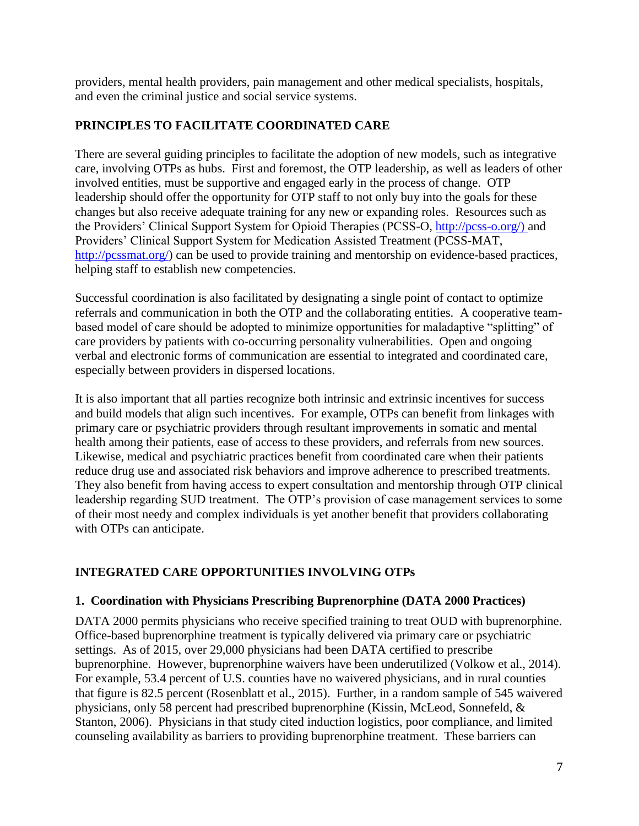providers, mental health providers, pain management and other medical specialists, hospitals, and even the criminal justice and social service systems.

## **PRINCIPLES TO FACILITATE COORDINATED CARE**

There are several guiding principles to facilitate the adoption of new models, such as integrative care, involving OTPs as hubs. First and foremost, the OTP leadership, as well as leaders of other involved entities, must be supportive and engaged early in the process of change. OTP leadership should offer the opportunity for OTP staff to not only buy into the goals for these changes but also receive adequate training for any new or expanding roles. Resources such as the Providers' Clinical Support System for Opioid Therapies (PCSS-O, [http://pcss-o.org/\)](http://pcss-o.org/) and Providers' Clinical Support System for Medication Assisted Treatment (PCSS-MAT, [http://pcssmat.org/\)](http://pcssmat.org/) can be used to provide training and mentorship on evidence-based practices, helping staff to establish new competencies.

Successful coordination is also facilitated by designating a single point of contact to optimize referrals and communication in both the OTP and the collaborating entities. A cooperative teambased model of care should be adopted to minimize opportunities for maladaptive "splitting" of care providers by patients with co-occurring personality vulnerabilities. Open and ongoing verbal and electronic forms of communication are essential to integrated and coordinated care, especially between providers in dispersed locations.

It is also important that all parties recognize both intrinsic and extrinsic incentives for success and build models that align such incentives. For example, OTPs can benefit from linkages with primary care or psychiatric providers through resultant improvements in somatic and mental health among their patients, ease of access to these providers, and referrals from new sources. Likewise, medical and psychiatric practices benefit from coordinated care when their patients reduce drug use and associated risk behaviors and improve adherence to prescribed treatments. They also benefit from having access to expert consultation and mentorship through OTP clinical leadership regarding SUD treatment. The OTP's provision of case management services to some of their most needy and complex individuals is yet another benefit that providers collaborating with OTPs can anticipate.

## **INTEGRATED CARE OPPORTUNITIES INVOLVING OTPs**

## **1. Coordination with Physicians Prescribing Buprenorphine (DATA 2000 Practices)**

DATA 2000 permits physicians who receive specified training to treat OUD with buprenorphine. Office-based buprenorphine treatment is typically delivered via primary care or psychiatric settings. As of 2015, over 29,000 physicians had been DATA certified to prescribe buprenorphine. However, buprenorphine waivers have been underutilized (Volkow et al., 2014). For example, 53.4 percent of U.S. counties have no waivered physicians, and in rural counties that figure is 82.5 percent (Rosenblatt et al., 2015). Further, in a random sample of 545 waivered physicians, only 58 percent had prescribed buprenorphine (Kissin, McLeod, Sonnefeld, & Stanton, 2006). Physicians in that study cited induction logistics, poor compliance, and limited counseling availability as barriers to providing buprenorphine treatment. These barriers can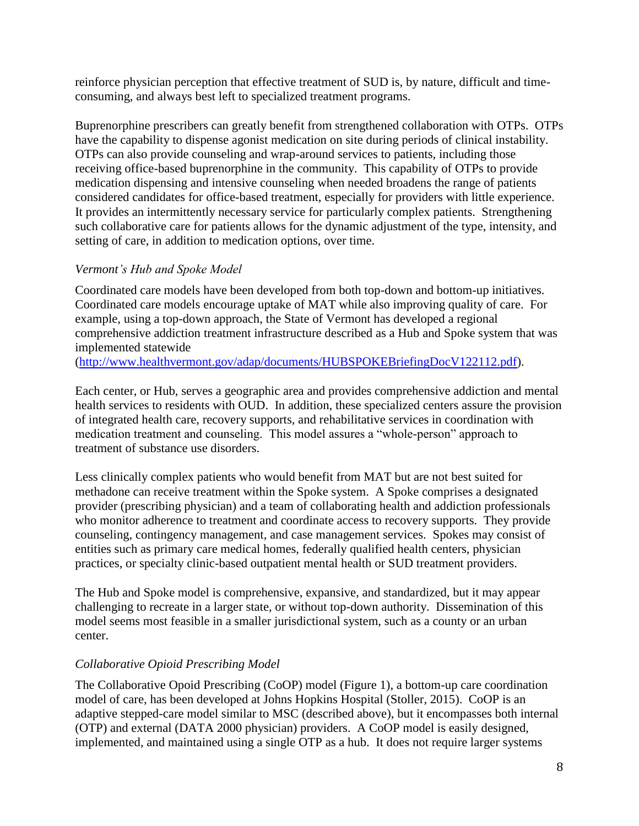reinforce physician perception that effective treatment of SUD is, by nature, difficult and timeconsuming, and always best left to specialized treatment programs.

Buprenorphine prescribers can greatly benefit from strengthened collaboration with OTPs. OTPs have the capability to dispense agonist medication on site during periods of clinical instability. OTPs can also provide counseling and wrap-around services to patients, including those receiving office-based buprenorphine in the community. This capability of OTPs to provide medication dispensing and intensive counseling when needed broadens the range of patients considered candidates for office-based treatment, especially for providers with little experience. It provides an intermittently necessary service for particularly complex patients. Strengthening such collaborative care for patients allows for the dynamic adjustment of the type, intensity, and setting of care, in addition to medication options, over time.

## *Vermont's Hub and Spoke Model*

Coordinated care models have been developed from both top-down and bottom-up initiatives. Coordinated care models encourage uptake of MAT while also improving quality of care. For example, using a top-down approach, the State of Vermont has developed a regional comprehensive addiction treatment infrastructure described as a Hub and Spoke system that was implemented statewide

[\(http://www.healthvermont.gov/adap/documents/HUBSPOKEBriefingDocV122112.pdf\)](http://www.healthvermont.gov/adap/documents/HUBSPOKEBriefingDocV122112.pdf).

Each center, or Hub, serves a geographic area and provides comprehensive addiction and mental health services to residents with OUD. In addition, these specialized centers assure the provision of integrated health care, recovery supports, and rehabilitative services in coordination with medication treatment and counseling. This model assures a "whole-person" approach to treatment of substance use disorders.

Less clinically complex patients who would benefit from MAT but are not best suited for methadone can receive treatment within the Spoke system. A Spoke comprises a designated provider (prescribing physician) and a team of collaborating health and addiction professionals who monitor adherence to treatment and coordinate access to recovery supports. They provide counseling, contingency management, and case management services. Spokes may consist of entities such as primary care medical homes, federally qualified health centers, physician practices, or specialty clinic-based outpatient mental health or SUD treatment providers.

The Hub and Spoke model is comprehensive, expansive, and standardized, but it may appear challenging to recreate in a larger state, or without top-down authority. Dissemination of this model seems most feasible in a smaller jurisdictional system, such as a county or an urban center.

## *Collaborative Opioid Prescribing Model*

The Collaborative Opoid Prescribing (CoOP) model (Figure 1), a bottom-up care coordination model of care, has been developed at Johns Hopkins Hospital (Stoller, 2015). CoOP is an adaptive stepped-care model similar to MSC (described above), but it encompasses both internal (OTP) and external (DATA 2000 physician) providers. A CoOP model is easily designed, implemented, and maintained using a single OTP as a hub. It does not require larger systems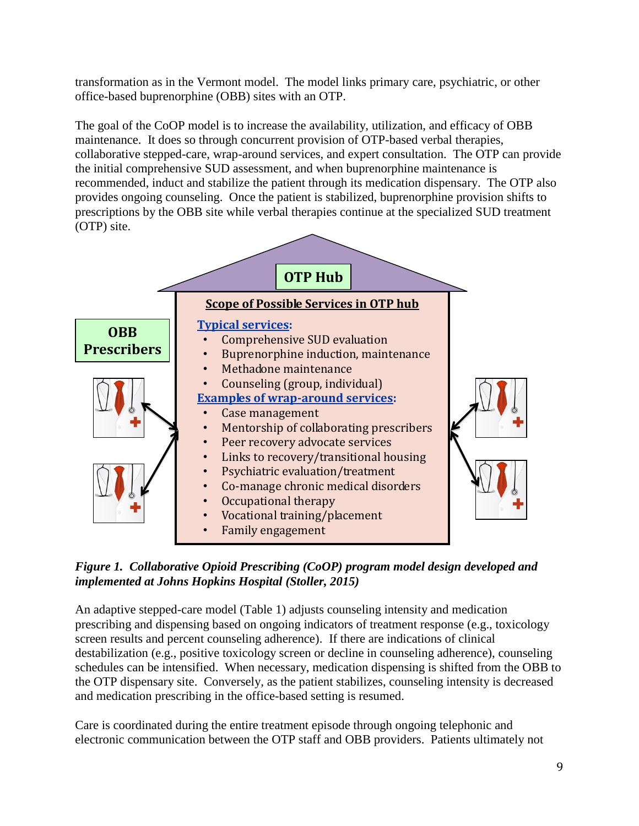transformation as in the Vermont model. The model links primary care, psychiatric, or other office-based buprenorphine (OBB) sites with an OTP.

The goal of the CoOP model is to increase the availability, utilization, and efficacy of OBB maintenance. It does so through concurrent provision of OTP-based verbal therapies, collaborative stepped-care, wrap-around services, and expert consultation. The OTP can provide the initial comprehensive SUD assessment, and when buprenorphine maintenance is recommended, induct and stabilize the patient through its medication dispensary. The OTP also provides ongoing counseling. Once the patient is stabilized, buprenorphine provision shifts to prescriptions by the OBB site while verbal therapies continue at the specialized SUD treatment (OTP) site.



*Figure 1. Collaborative Opioid Prescribing (CoOP) program model design developed and implemented at Johns Hopkins Hospital (Stoller, 2015)* 

An adaptive stepped-care model (Table 1) adjusts counseling intensity and medication prescribing and dispensing based on ongoing indicators of treatment response (e.g., toxicology screen results and percent counseling adherence). If there are indications of clinical destabilization (e.g., positive toxicology screen or decline in counseling adherence), counseling schedules can be intensified. When necessary, medication dispensing is shifted from the OBB to the OTP dispensary site. Conversely, as the patient stabilizes, counseling intensity is decreased and medication prescribing in the office-based setting is resumed.

Care is coordinated during the entire treatment episode through ongoing telephonic and electronic communication between the OTP staff and OBB providers. Patients ultimately not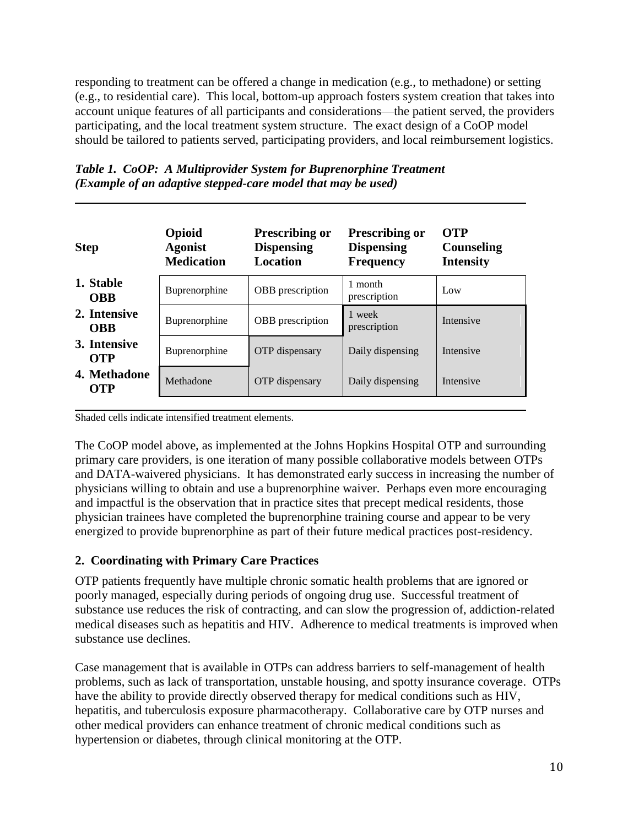responding to treatment can be offered a change in medication (e.g., to methadone) or setting (e.g., to residential care). This local, bottom-up approach fosters system creation that takes into account unique features of all participants and considerations—the patient served, the providers participating, and the local treatment system structure. The exact design of a CoOP model should be tailored to patients served, participating providers, and local reimbursement logistics.

| <b>Step</b>                | Opioid<br><b>Agonist</b><br><b>Medication</b> | <b>Prescribing or</b><br><b>Dispensing</b><br>Location | <b>Prescribing or</b><br><b>Dispensing</b><br><b>Frequency</b> | <b>OTP</b><br><b>Counseling</b><br><b>Intensity</b> |
|----------------------------|-----------------------------------------------|--------------------------------------------------------|----------------------------------------------------------------|-----------------------------------------------------|
| 1. Stable<br><b>OBB</b>    | Buprenorphine                                 | <b>OBB</b> prescription                                | 1 month<br>prescription                                        | Low                                                 |
| 2. Intensive<br><b>OBB</b> | Buprenorphine                                 | <b>OBB</b> prescription                                | 1 week<br>prescription                                         | Intensive                                           |
| 3. Intensive<br><b>OTP</b> | Buprenorphine                                 | <b>OTP</b> dispensary                                  | Daily dispensing                                               | Intensive                                           |
| 4. Methadone<br>OTP        | Methadone                                     | OTP dispensary                                         | Daily dispensing                                               | Intensive                                           |

*Table 1. CoOP: A Multiprovider System for Buprenorphine Treatment (Example of an adaptive stepped-care model that may be used)*

Shaded cells indicate intensified treatment elements.

The CoOP model above, as implemented at the Johns Hopkins Hospital OTP and surrounding primary care providers, is one iteration of many possible collaborative models between OTPs and DATA-waivered physicians. It has demonstrated early success in increasing the number of physicians willing to obtain and use a buprenorphine waiver. Perhaps even more encouraging and impactful is the observation that in practice sites that precept medical residents, those physician trainees have completed the buprenorphine training course and appear to be very energized to provide buprenorphine as part of their future medical practices post-residency.

#### **2. Coordinating with Primary Care Practices**

OTP patients frequently have multiple chronic somatic health problems that are ignored or poorly managed, especially during periods of ongoing drug use. Successful treatment of substance use reduces the risk of contracting, and can slow the progression of, addiction-related medical diseases such as hepatitis and HIV. Adherence to medical treatments is improved when substance use declines.

Case management that is available in OTPs can address barriers to self-management of health problems, such as lack of transportation, unstable housing, and spotty insurance coverage. OTPs have the ability to provide directly observed therapy for medical conditions such as HIV, hepatitis, and tuberculosis exposure pharmacotherapy. Collaborative care by OTP nurses and other medical providers can enhance treatment of chronic medical conditions such as hypertension or diabetes, through clinical monitoring at the OTP.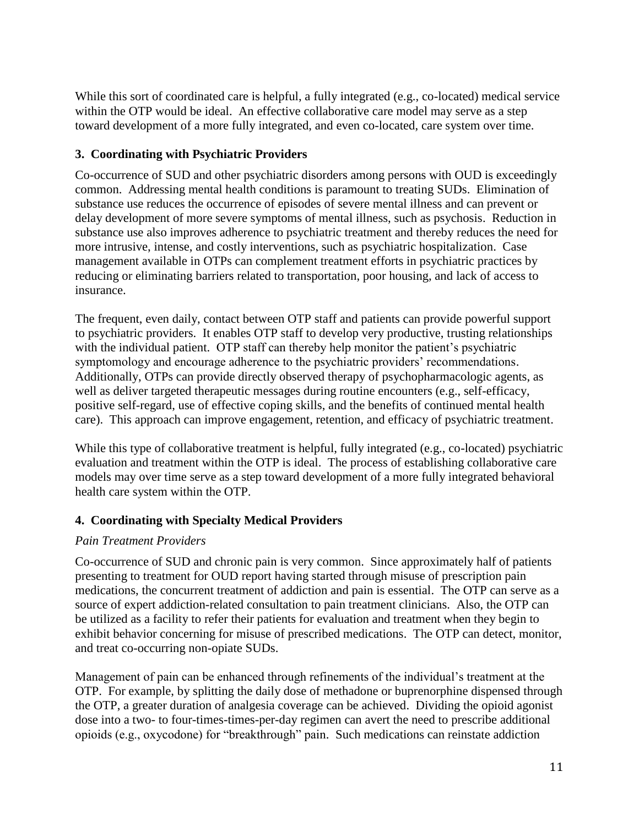While this sort of coordinated care is helpful, a fully integrated (e.g., co-located) medical service within the OTP would be ideal. An effective collaborative care model may serve as a step toward development of a more fully integrated, and even co-located, care system over time.

## **3. Coordinating with Psychiatric Providers**

Co-occurrence of SUD and other psychiatric disorders among persons with OUD is exceedingly common. Addressing mental health conditions is paramount to treating SUDs. Elimination of substance use reduces the occurrence of episodes of severe mental illness and can prevent or delay development of more severe symptoms of mental illness, such as psychosis. Reduction in substance use also improves adherence to psychiatric treatment and thereby reduces the need for more intrusive, intense, and costly interventions, such as psychiatric hospitalization. Case management available in OTPs can complement treatment efforts in psychiatric practices by reducing or eliminating barriers related to transportation, poor housing, and lack of access to insurance.

The frequent, even daily, contact between OTP staff and patients can provide powerful support to psychiatric providers. It enables OTP staff to develop very productive, trusting relationships with the individual patient. OTP staff can thereby help monitor the patient's psychiatric symptomology and encourage adherence to the psychiatric providers' recommendations. Additionally, OTPs can provide directly observed therapy of psychopharmacologic agents, as well as deliver targeted therapeutic messages during routine encounters (e.g., self-efficacy, positive self-regard, use of effective coping skills, and the benefits of continued mental health care). This approach can improve engagement, retention, and efficacy of psychiatric treatment.

While this type of collaborative treatment is helpful, fully integrated (e.g., co-located) psychiatric evaluation and treatment within the OTP is ideal. The process of establishing collaborative care models may over time serve as a step toward development of a more fully integrated behavioral health care system within the OTP.

## **4. Coordinating with Specialty Medical Providers**

#### *Pain Treatment Providers*

Co-occurrence of SUD and chronic pain is very common. Since approximately half of patients presenting to treatment for OUD report having started through misuse of prescription pain medications, the concurrent treatment of addiction and pain is essential. The OTP can serve as a source of expert addiction-related consultation to pain treatment clinicians. Also, the OTP can be utilized as a facility to refer their patients for evaluation and treatment when they begin to exhibit behavior concerning for misuse of prescribed medications. The OTP can detect, monitor, and treat co-occurring non-opiate SUDs.

Management of pain can be enhanced through refinements of the individual's treatment at the OTP. For example, by splitting the daily dose of methadone or buprenorphine dispensed through the OTP, a greater duration of analgesia coverage can be achieved. Dividing the opioid agonist dose into a two- to four-times-times-per-day regimen can avert the need to prescribe additional opioids (e.g., oxycodone) for "breakthrough" pain. Such medications can reinstate addiction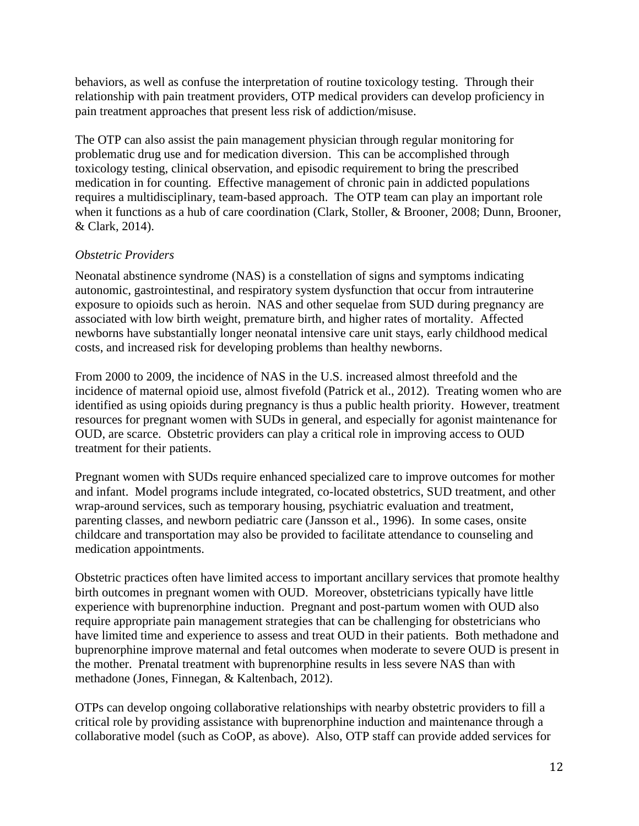behaviors, as well as confuse the interpretation of routine toxicology testing. Through their relationship with pain treatment providers, OTP medical providers can develop proficiency in pain treatment approaches that present less risk of addiction/misuse.

The OTP can also assist the pain management physician through regular monitoring for problematic drug use and for medication diversion. This can be accomplished through toxicology testing, clinical observation, and episodic requirement to bring the prescribed medication in for counting. Effective management of chronic pain in addicted populations requires a multidisciplinary, team-based approach. The OTP team can play an important role when it functions as a hub of care coordination (Clark, Stoller, & Brooner, 2008; Dunn, Brooner, & Clark, 2014).

#### *Obstetric Providers*

Neonatal abstinence syndrome (NAS) is a constellation of signs and symptoms indicating autonomic, gastrointestinal, and respiratory system dysfunction that occur from intrauterine exposure to opioids such as heroin. NAS and other sequelae from SUD during pregnancy are associated with low birth weight, premature birth, and higher rates of mortality. Affected newborns have substantially longer neonatal intensive care unit stays, early childhood medical costs, and increased risk for developing problems than healthy newborns.

From 2000 to 2009, the incidence of NAS in the U.S. increased almost threefold and the incidence of maternal opioid use, almost fivefold (Patrick et al., 2012). Treating women who are identified as using opioids during pregnancy is thus a public health priority. However, treatment resources for pregnant women with SUDs in general, and especially for agonist maintenance for OUD, are scarce. Obstetric providers can play a critical role in improving access to OUD treatment for their patients.

Pregnant women with SUDs require enhanced specialized care to improve outcomes for mother and infant. Model programs include integrated, co-located obstetrics, SUD treatment, and other wrap-around services, such as temporary housing, psychiatric evaluation and treatment, parenting classes, and newborn pediatric care (Jansson et al., 1996). In some cases, onsite childcare and transportation may also be provided to facilitate attendance to counseling and medication appointments.

Obstetric practices often have limited access to important ancillary services that promote healthy birth outcomes in pregnant women with OUD. Moreover, obstetricians typically have little experience with buprenorphine induction. Pregnant and post-partum women with OUD also require appropriate pain management strategies that can be challenging for obstetricians who have limited time and experience to assess and treat OUD in their patients. Both methadone and buprenorphine improve maternal and fetal outcomes when moderate to severe OUD is present in the mother. Prenatal treatment with buprenorphine results in less severe NAS than with methadone (Jones, Finnegan, & Kaltenbach, 2012).

OTPs can develop ongoing collaborative relationships with nearby obstetric providers to fill a critical role by providing assistance with buprenorphine induction and maintenance through a collaborative model (such as CoOP, as above). Also, OTP staff can provide added services for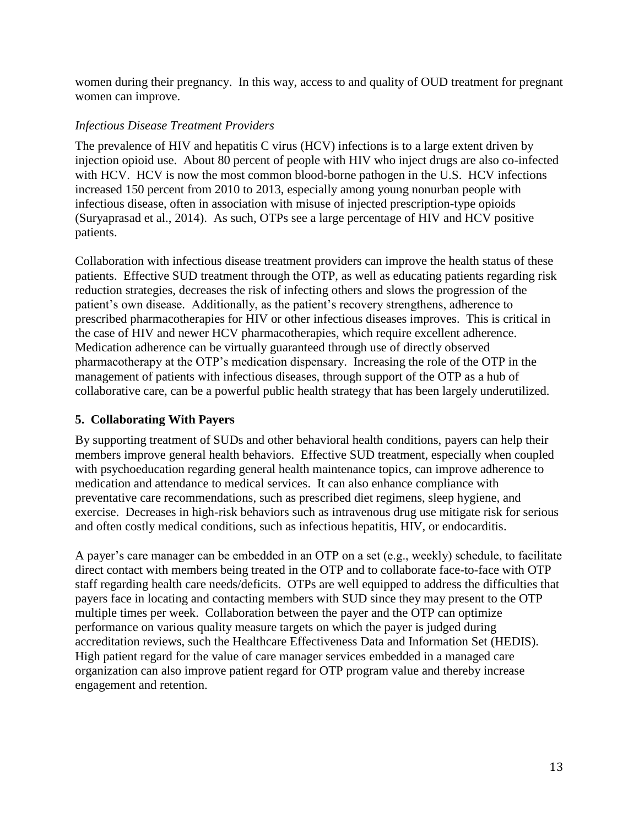women during their pregnancy. In this way, access to and quality of OUD treatment for pregnant women can improve.

#### *Infectious Disease Treatment Providers*

The prevalence of HIV and hepatitis C virus (HCV) infections is to a large extent driven by injection opioid use. About 80 percent of people with HIV who inject drugs are also co-infected with HCV. HCV is now the most common blood-borne pathogen in the U.S. HCV infections increased 150 percent from 2010 to 2013, especially among young nonurban people with infectious disease, often in association with misuse of injected prescription-type opioids (Suryaprasad et al., 2014). As such, OTPs see a large percentage of HIV and HCV positive patients.

Collaboration with infectious disease treatment providers can improve the health status of these patients. Effective SUD treatment through the OTP, as well as educating patients regarding risk reduction strategies, decreases the risk of infecting others and slows the progression of the patient's own disease. Additionally, as the patient's recovery strengthens, adherence to prescribed pharmacotherapies for HIV or other infectious diseases improves. This is critical in the case of HIV and newer HCV pharmacotherapies, which require excellent adherence. Medication adherence can be virtually guaranteed through use of directly observed pharmacotherapy at the OTP's medication dispensary. Increasing the role of the OTP in the management of patients with infectious diseases, through support of the OTP as a hub of collaborative care, can be a powerful public health strategy that has been largely underutilized.

## **5. Collaborating With Payers**

By supporting treatment of SUDs and other behavioral health conditions, payers can help their members improve general health behaviors. Effective SUD treatment, especially when coupled with psychoeducation regarding general health maintenance topics, can improve adherence to medication and attendance to medical services. It can also enhance compliance with preventative care recommendations, such as prescribed diet regimens, sleep hygiene, and exercise. Decreases in high-risk behaviors such as intravenous drug use mitigate risk for serious and often costly medical conditions, such as infectious hepatitis, HIV, or endocarditis.

A payer's care manager can be embedded in an OTP on a set (e.g., weekly) schedule, to facilitate direct contact with members being treated in the OTP and to collaborate face-to-face with OTP staff regarding health care needs/deficits. OTPs are well equipped to address the difficulties that payers face in locating and contacting members with SUD since they may present to the OTP multiple times per week. Collaboration between the payer and the OTP can optimize performance on various quality measure targets on which the payer is judged during accreditation reviews, such the Healthcare Effectiveness Data and Information Set (HEDIS). High patient regard for the value of care manager services embedded in a managed care organization can also improve patient regard for OTP program value and thereby increase engagement and retention.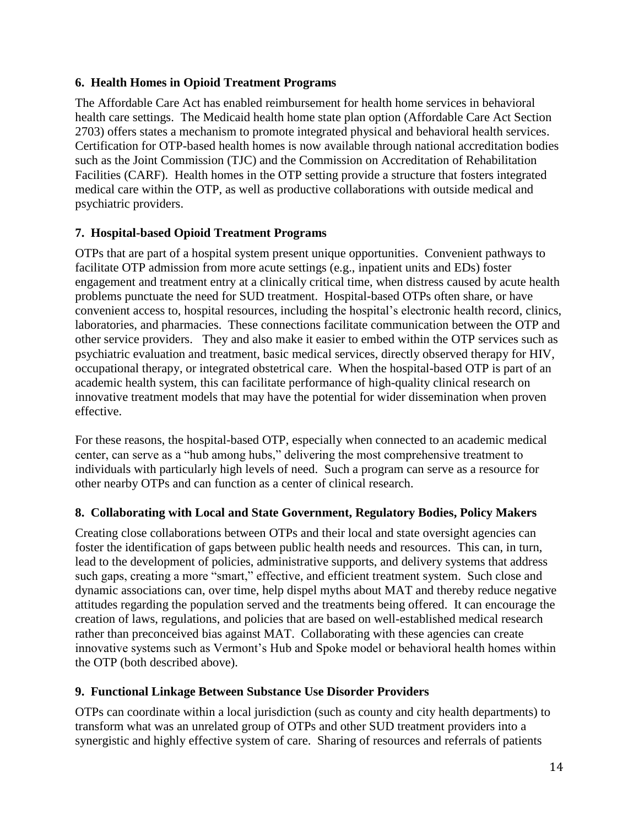## **6. Health Homes in Opioid Treatment Programs**

The Affordable Care Act has enabled reimbursement for health home services in behavioral health care settings. The Medicaid health home state plan option (Affordable Care Act Section 2703) offers states a mechanism to promote integrated physical and behavioral health services. Certification for OTP-based health homes is now available through national accreditation bodies such as the Joint Commission (TJC) and the Commission on Accreditation of Rehabilitation Facilities (CARF). Health homes in the OTP setting provide a structure that fosters integrated medical care within the OTP, as well as productive collaborations with outside medical and psychiatric providers.

## **7. Hospital-based Opioid Treatment Programs**

OTPs that are part of a hospital system present unique opportunities. Convenient pathways to facilitate OTP admission from more acute settings (e.g., inpatient units and EDs) foster engagement and treatment entry at a clinically critical time, when distress caused by acute health problems punctuate the need for SUD treatment. Hospital-based OTPs often share, or have convenient access to, hospital resources, including the hospital's electronic health record, clinics, laboratories, and pharmacies. These connections facilitate communication between the OTP and other service providers. They and also make it easier to embed within the OTP services such as psychiatric evaluation and treatment, basic medical services, directly observed therapy for HIV, occupational therapy, or integrated obstetrical care. When the hospital-based OTP is part of an academic health system, this can facilitate performance of high-quality clinical research on innovative treatment models that may have the potential for wider dissemination when proven effective.

For these reasons, the hospital-based OTP, especially when connected to an academic medical center, can serve as a "hub among hubs," delivering the most comprehensive treatment to individuals with particularly high levels of need. Such a program can serve as a resource for other nearby OTPs and can function as a center of clinical research.

#### **8. Collaborating with Local and State Government, Regulatory Bodies, Policy Makers**

Creating close collaborations between OTPs and their local and state oversight agencies can foster the identification of gaps between public health needs and resources. This can, in turn, lead to the development of policies, administrative supports, and delivery systems that address such gaps, creating a more "smart," effective, and efficient treatment system. Such close and dynamic associations can, over time, help dispel myths about MAT and thereby reduce negative attitudes regarding the population served and the treatments being offered. It can encourage the creation of laws, regulations, and policies that are based on well-established medical research rather than preconceived bias against MAT. Collaborating with these agencies can create innovative systems such as Vermont's Hub and Spoke model or behavioral health homes within the OTP (both described above).

#### **9. Functional Linkage Between Substance Use Disorder Providers**

OTPs can coordinate within a local jurisdiction (such as county and city health departments) to transform what was an unrelated group of OTPs and other SUD treatment providers into a synergistic and highly effective system of care. Sharing of resources and referrals of patients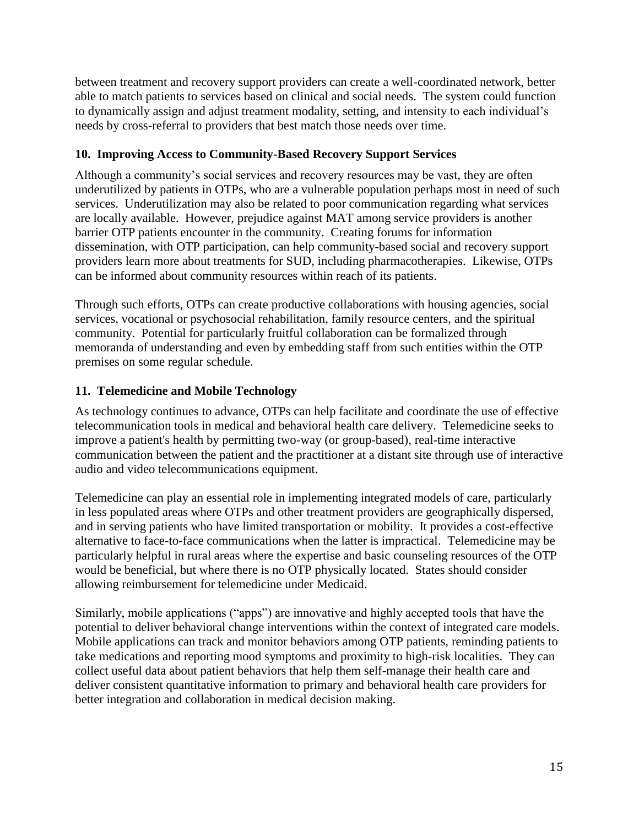between treatment and recovery support providers can create a well-coordinated network, better able to match patients to services based on clinical and social needs. The system could function to dynamically assign and adjust treatment modality, setting, and intensity to each individual's needs by cross-referral to providers that best match those needs over time.

## **10. Improving Access to Community-Based Recovery Support Services**

Although a community's social services and recovery resources may be vast, they are often underutilized by patients in OTPs, who are a vulnerable population perhaps most in need of such services. Underutilization may also be related to poor communication regarding what services are locally available. However, prejudice against MAT among service providers is another barrier OTP patients encounter in the community. Creating forums for information dissemination, with OTP participation, can help community-based social and recovery support providers learn more about treatments for SUD, including pharmacotherapies. Likewise, OTPs can be informed about community resources within reach of its patients.

Through such efforts, OTPs can create productive collaborations with housing agencies, social services, vocational or psychosocial rehabilitation, family resource centers, and the spiritual community. Potential for particularly fruitful collaboration can be formalized through memoranda of understanding and even by embedding staff from such entities within the OTP premises on some regular schedule.

## **11. Telemedicine and Mobile Technology**

As technology continues to advance, OTPs can help facilitate and coordinate the use of effective telecommunication tools in medical and behavioral health care delivery. Telemedicine seeks to improve a patient's health by permitting two-way (or group-based), real-time interactive communication between the patient and the practitioner at a distant site through use of interactive audio and video telecommunications equipment.

Telemedicine can play an essential role in implementing integrated models of care, particularly in less populated areas where OTPs and other treatment providers are geographically dispersed, and in serving patients who have limited transportation or mobility. It provides a cost-effective alternative to face-to-face communications when the latter is impractical. Telemedicine may be particularly helpful in rural areas where the expertise and basic counseling resources of the OTP would be beneficial, but where there is no OTP physically located. States should consider allowing reimbursement for telemedicine under Medicaid.

Similarly, mobile applications ("apps") are innovative and highly accepted tools that have the potential to deliver behavioral change interventions within the context of integrated care models. Mobile applications can track and monitor behaviors among OTP patients, reminding patients to take medications and reporting mood symptoms and proximity to high-risk localities. They can collect useful data about patient behaviors that help them self-manage their health care and deliver consistent quantitative information to primary and behavioral health care providers for better integration and collaboration in medical decision making.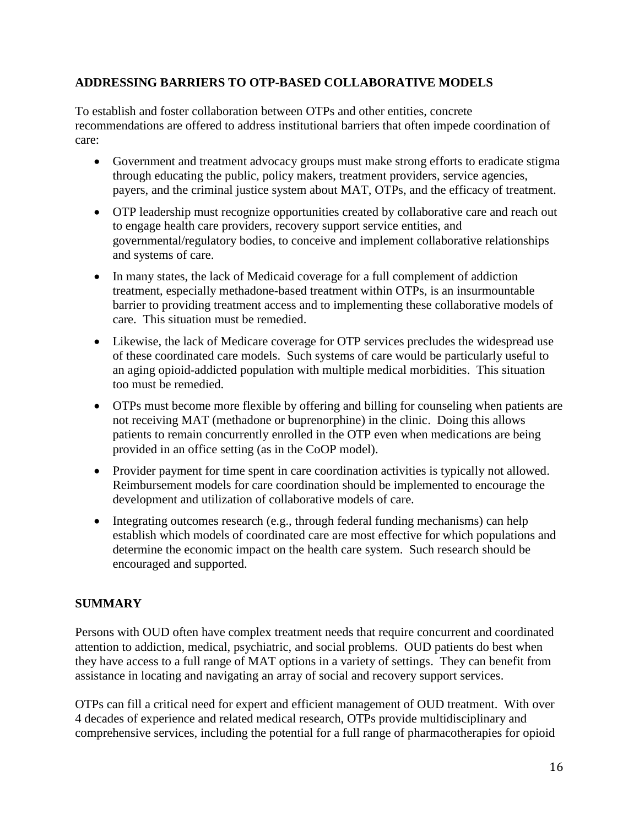## **ADDRESSING BARRIERS TO OTP-BASED COLLABORATIVE MODELS**

To establish and foster collaboration between OTPs and other entities, concrete recommendations are offered to address institutional barriers that often impede coordination of care:

- Government and treatment advocacy groups must make strong efforts to eradicate stigma through educating the public, policy makers, treatment providers, service agencies, payers, and the criminal justice system about MAT, OTPs, and the efficacy of treatment.
- OTP leadership must recognize opportunities created by collaborative care and reach out to engage health care providers, recovery support service entities, and governmental/regulatory bodies, to conceive and implement collaborative relationships and systems of care.
- In many states, the lack of Medicaid coverage for a full complement of addiction treatment, especially methadone-based treatment within OTPs, is an insurmountable barrier to providing treatment access and to implementing these collaborative models of care. This situation must be remedied.
- Likewise, the lack of Medicare coverage for OTP services precludes the widespread use of these coordinated care models. Such systems of care would be particularly useful to an aging opioid-addicted population with multiple medical morbidities. This situation too must be remedied.
- OTPs must become more flexible by offering and billing for counseling when patients are not receiving MAT (methadone or buprenorphine) in the clinic. Doing this allows patients to remain concurrently enrolled in the OTP even when medications are being provided in an office setting (as in the CoOP model).
- Provider payment for time spent in care coordination activities is typically not allowed. Reimbursement models for care coordination should be implemented to encourage the development and utilization of collaborative models of care.
- Integrating outcomes research (e.g., through federal funding mechanisms) can help establish which models of coordinated care are most effective for which populations and determine the economic impact on the health care system. Such research should be encouraged and supported.

## **SUMMARY**

Persons with OUD often have complex treatment needs that require concurrent and coordinated attention to addiction, medical, psychiatric, and social problems. OUD patients do best when they have access to a full range of MAT options in a variety of settings. They can benefit from assistance in locating and navigating an array of social and recovery support services.

OTPs can fill a critical need for expert and efficient management of OUD treatment. With over 4 decades of experience and related medical research, OTPs provide multidisciplinary and comprehensive services, including the potential for a full range of pharmacotherapies for opioid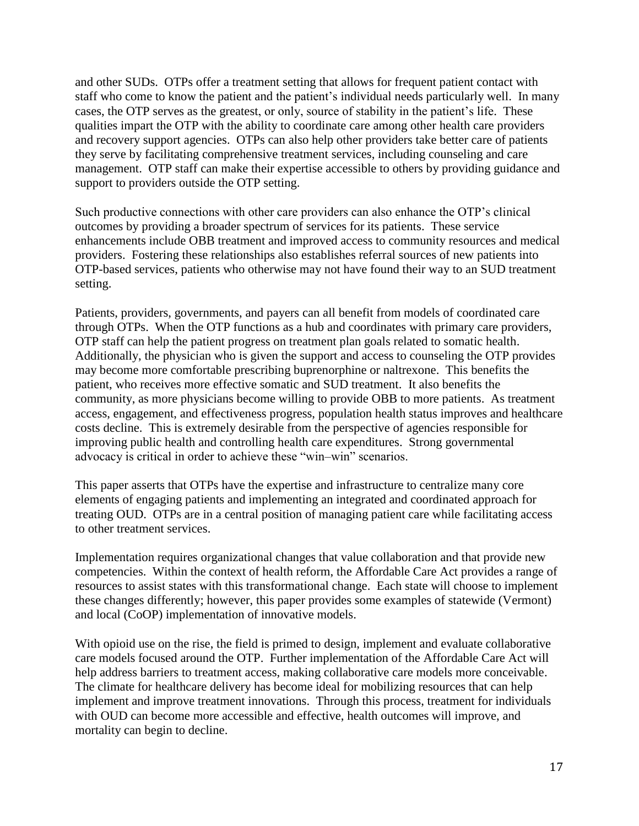and other SUDs. OTPs offer a treatment setting that allows for frequent patient contact with staff who come to know the patient and the patient's individual needs particularly well. In many cases, the OTP serves as the greatest, or only, source of stability in the patient's life. These qualities impart the OTP with the ability to coordinate care among other health care providers and recovery support agencies. OTPs can also help other providers take better care of patients they serve by facilitating comprehensive treatment services, including counseling and care management. OTP staff can make their expertise accessible to others by providing guidance and support to providers outside the OTP setting.

Such productive connections with other care providers can also enhance the OTP's clinical outcomes by providing a broader spectrum of services for its patients. These service enhancements include OBB treatment and improved access to community resources and medical providers. Fostering these relationships also establishes referral sources of new patients into OTP-based services, patients who otherwise may not have found their way to an SUD treatment setting.

Patients, providers, governments, and payers can all benefit from models of coordinated care through OTPs. When the OTP functions as a hub and coordinates with primary care providers, OTP staff can help the patient progress on treatment plan goals related to somatic health. Additionally, the physician who is given the support and access to counseling the OTP provides may become more comfortable prescribing buprenorphine or naltrexone. This benefits the patient, who receives more effective somatic and SUD treatment. It also benefits the community, as more physicians become willing to provide OBB to more patients. As treatment access, engagement, and effectiveness progress, population health status improves and healthcare costs decline. This is extremely desirable from the perspective of agencies responsible for improving public health and controlling health care expenditures. Strong governmental advocacy is critical in order to achieve these "win–win" scenarios.

This paper asserts that OTPs have the expertise and infrastructure to centralize many core elements of engaging patients and implementing an integrated and coordinated approach for treating OUD. OTPs are in a central position of managing patient care while facilitating access to other treatment services.

Implementation requires organizational changes that value collaboration and that provide new competencies. Within the context of health reform, the Affordable Care Act provides a range of resources to assist states with this transformational change. Each state will choose to implement these changes differently; however, this paper provides some examples of statewide (Vermont) and local (CoOP) implementation of innovative models.

With opioid use on the rise, the field is primed to design, implement and evaluate collaborative care models focused around the OTP. Further implementation of the Affordable Care Act will help address barriers to treatment access, making collaborative care models more conceivable. The climate for healthcare delivery has become ideal for mobilizing resources that can help implement and improve treatment innovations. Through this process, treatment for individuals with OUD can become more accessible and effective, health outcomes will improve, and mortality can begin to decline.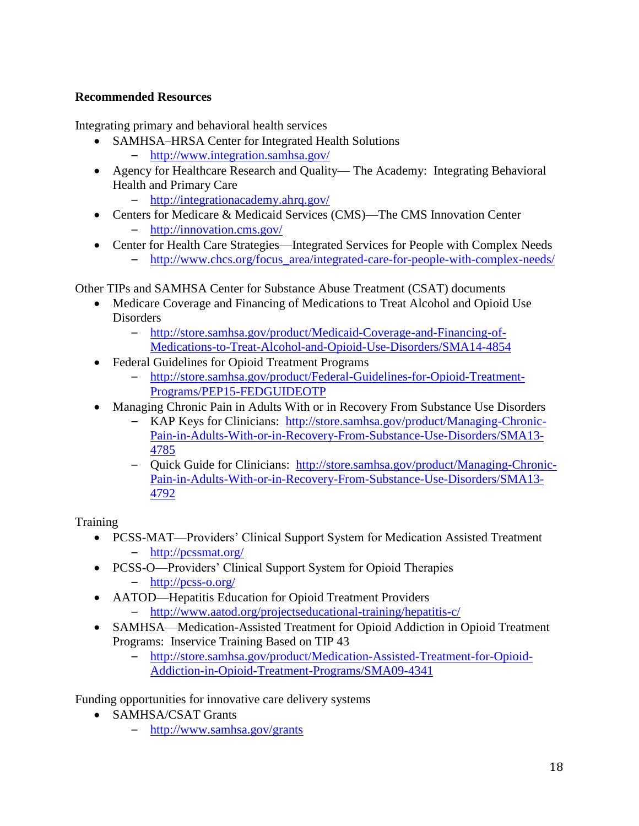## **Recommended Resources**

Integrating primary and behavioral health services

- SAMHSA–HRSA Center for Integrated Health Solutions
	- <http://www.integration.samhsa.gov/>
- Agency for Healthcare Research and Quality— The Academy: Integrating Behavioral Health and Primary Care
	- <http://integrationacademy.ahrq.gov/>
- Centers for Medicare & Medicaid Services (CMS)—The CMS Innovation Center
	- <http://innovation.cms.gov/>
- Center for Health Care Strategies—Integrated Services for People with Complex Needs
	- [http://www.chcs.org/focus\\_area/integrated-care-for-people-with-complex-needs/](http://www.chcs.org/focus_area/integrated-care-for-people-with-complex-needs/)

Other TIPs and SAMHSA Center for Substance Abuse Treatment (CSAT) documents

- Medicare Coverage and Financing of Medications to Treat Alcohol and Opioid Use **Disorders** 
	- [http://store.samhsa.gov/product/Medicaid-Coverage-and-Financing-of-](http://store.samhsa.gov/product/Medicaid-Coverage-and-Financing-of-Medications-to-Treat-Alcohol-and-Opioid-Use-Disorders/SMA14-4854)[Medications-to-Treat-Alcohol-and-Opioid-Use-Disorders/SMA14-4854](http://store.samhsa.gov/product/Medicaid-Coverage-and-Financing-of-Medications-to-Treat-Alcohol-and-Opioid-Use-Disorders/SMA14-4854)
- Federal Guidelines for Opioid Treatment Programs
	- [http://store.samhsa.gov/product/Federal-Guidelines-for-Opioid-Treatment-](http://store.samhsa.gov/product/Federal-Guidelines-for-Opioid-Treatment-Programs/PEP15-FEDGUIDEOTP)[Programs/PEP15-FEDGUIDEOTP](http://store.samhsa.gov/product/Federal-Guidelines-for-Opioid-Treatment-Programs/PEP15-FEDGUIDEOTP)
- Managing Chronic Pain in Adults With or in Recovery From Substance Use Disorders
	- KAP Keys for Clinicians: [http://store.samhsa.gov/product/Managing-Chronic-](http://store.samhsa.gov/product/Managing-Chronic-Pain-in-Adults-With-or-in-Recovery-From-Substance-Use-Disorders/SMA13-4785)[Pain-in-Adults-With-or-in-Recovery-From-Substance-Use-Disorders/SMA13-](http://store.samhsa.gov/product/Managing-Chronic-Pain-in-Adults-With-or-in-Recovery-From-Substance-Use-Disorders/SMA13-4785) [4785](http://store.samhsa.gov/product/Managing-Chronic-Pain-in-Adults-With-or-in-Recovery-From-Substance-Use-Disorders/SMA13-4785)
	- Quick Guide for Clinicians: [http://store.samhsa.gov/product/Managing-Chronic-](http://store.samhsa.gov/product/Managing-Chronic-Pain-in-Adults-With-or-in-Recovery-From-Substance-Use-Disorders/SMA13-4792)[Pain-in-Adults-With-or-in-Recovery-From-Substance-Use-Disorders/SMA13-](http://store.samhsa.gov/product/Managing-Chronic-Pain-in-Adults-With-or-in-Recovery-From-Substance-Use-Disorders/SMA13-4792) [4792](http://store.samhsa.gov/product/Managing-Chronic-Pain-in-Adults-With-or-in-Recovery-From-Substance-Use-Disorders/SMA13-4792)

**Training** 

- PCSS-MAT—Providers' Clinical Support System for Medication Assisted Treatment – <http://pcssmat.org/>
- PCSS-O—Providers' Clinical Support System for Opioid Therapies – <http://pcss-o.org/>
- AATOD—Hepatitis Education for Opioid Treatment Providers
	- <http://www.aatod.org/projectseducational-training/hepatitis-c/>
- SAMHSA—Medication-Assisted Treatment for Opioid Addiction in Opioid Treatment Programs: Inservice Training Based on TIP 43
	- [http://store.samhsa.gov/product/Medication-Assisted-Treatment-for-Opioid-](http://store.samhsa.gov/product/Medication-Assisted-Treatment-for-Opioid-Addiction-in-Opioid-Treatment-Programs/SMA09-4341)[Addiction-in-Opioid-Treatment-Programs/SMA09-4341](http://store.samhsa.gov/product/Medication-Assisted-Treatment-for-Opioid-Addiction-in-Opioid-Treatment-Programs/SMA09-4341)

Funding opportunities for innovative care delivery systems

- SAMHSA/CSAT Grants
	- <http://www.samhsa.gov/grants>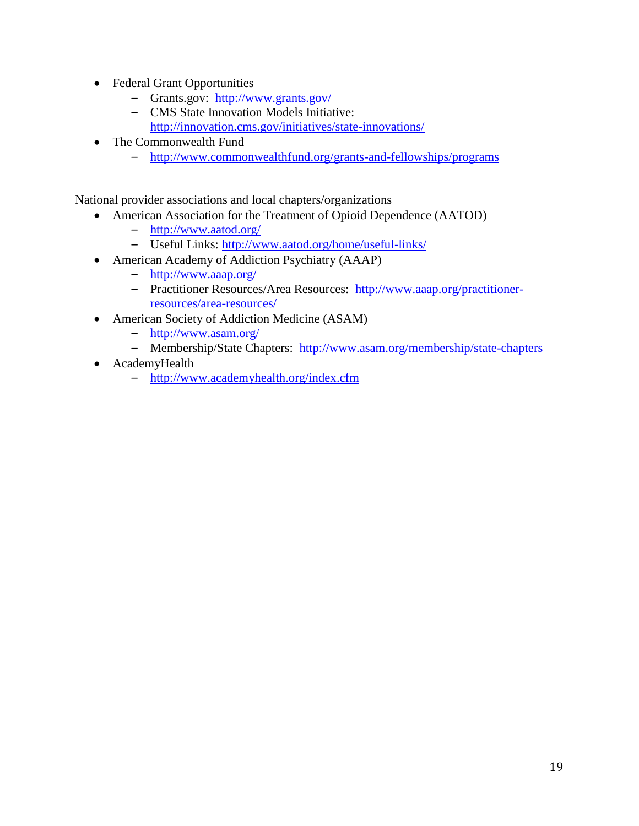- Federal Grant Opportunities
	- Grants.gov: <http://www.grants.gov/>
	- CMS State Innovation Models Initiative: <http://innovation.cms.gov/initiatives/state-innovations/>
- The Commonwealth Fund
	- <http://www.commonwealthfund.org/grants-and-fellowships/programs>

National provider associations and local chapters/organizations

- American Association for the Treatment of Opioid Dependence (AATOD)
	- <http://www.aatod.org/>
	- Useful Links:<http://www.aatod.org/home/useful-links/>
- American Academy of Addiction Psychiatry (AAAP)
	- <http://www.aaap.org/>
	- Practitioner Resources/Area Resources: [http://www.aaap.org/practitioner](http://www.aaap.org/practitioner-resources/area-resources/)[resources/area-resources/](http://www.aaap.org/practitioner-resources/area-resources/)
- American Society of Addiction Medicine (ASAM)
	- <http://www.asam.org/>
	- Membership/State Chapters: <http://www.asam.org/membership/state-chapters>
- AcademyHealth
	- <http://www.academyhealth.org/index.cfm>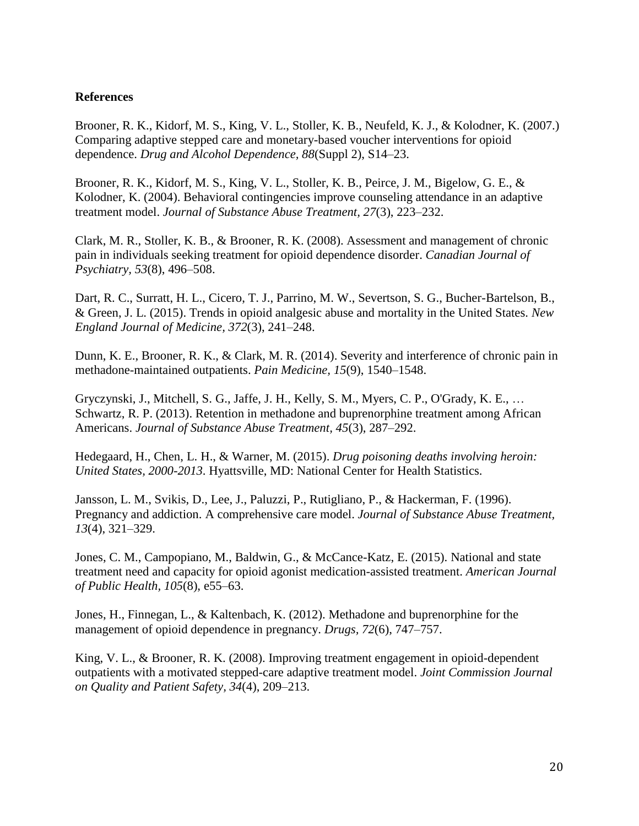#### **References**

Brooner, R. K., Kidorf, M. S., King, V. L., Stoller, K. B., Neufeld, K. J., & Kolodner, K. (2007.) Comparing adaptive stepped care and monetary-based voucher interventions for opioid dependence. *Drug and Alcohol Dependence, 88*(Suppl 2), S14–23.

Brooner, R. K., Kidorf, M. S., King, V. L., Stoller, K. B., Peirce, J. M., Bigelow, G. E., & Kolodner, K. (2004). Behavioral contingencies improve counseling attendance in an adaptive treatment model. *Journal of Substance Abuse Treatment, 27*(3), 223–232.

Clark, M. R., Stoller, K. B., & Brooner, R. K. (2008). Assessment and management of chronic pain in individuals seeking treatment for opioid dependence disorder. *Canadian Journal of Psychiatry, 53*(8), 496–508.

Dart, R. C., Surratt, H. L., Cicero, T. J., Parrino, M. W., Severtson, S. G., Bucher-Bartelson, B., & Green, J. L. (2015). Trends in opioid analgesic abuse and mortality in the United States. *New England Journal of Medicine, 372*(3), 241–248.

Dunn, K. E., Brooner, R. K., & Clark, M. R. (2014). Severity and interference of chronic pain in methadone-maintained outpatients. *Pain Medicine, 15*(9), 1540–1548.

Gryczynski, J., Mitchell, S. G., Jaffe, J. H., Kelly, S. M., Myers, C. P., O'Grady, K. E., … Schwartz, R. P. (2013). Retention in methadone and buprenorphine treatment among African Americans. *Journal of Substance Abuse Treatment, 45*(3), 287–292.

Hedegaard, H., Chen, L. H., & Warner, M. (2015). *Drug poisoning deaths involving heroin: United States, 2000-2013*. Hyattsville, MD: National Center for Health Statistics.

Jansson, L. M., Svikis, D., Lee, J., Paluzzi, P., Rutigliano, P., & Hackerman, F. (1996). Pregnancy and addiction. A comprehensive care model. *Journal of Substance Abuse Treatment, 13*(4), 321–329.

Jones, C. M., Campopiano, M., Baldwin, G., & McCance-Katz, E. (2015). National and state treatment need and capacity for opioid agonist medication-assisted treatment. *American Journal of Public Health, 105*(8), e55–63.

Jones, H., Finnegan, L., & Kaltenbach, K. (2012). Methadone and buprenorphine for the management of opioid dependence in pregnancy. *Drugs, 72*(6), 747–757.

King, V. L., & Brooner, R. K. (2008). Improving treatment engagement in opioid-dependent outpatients with a motivated stepped-care adaptive treatment model. *Joint Commission Journal on Quality and Patient Safety, 34*(4), 209–213.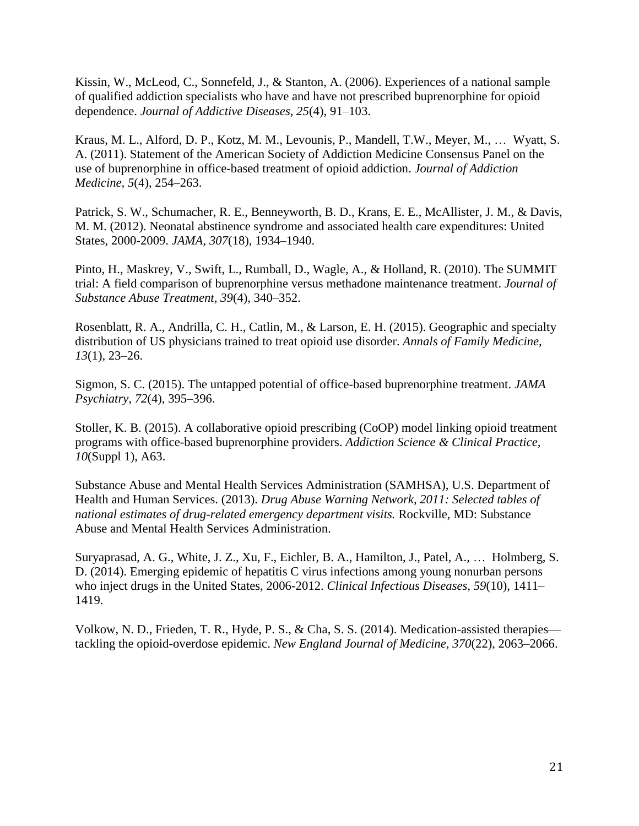Kissin, W., McLeod, C., Sonnefeld, J., & Stanton, A. (2006). Experiences of a national sample of qualified addiction specialists who have and have not prescribed buprenorphine for opioid dependence. *Journal of Addictive Diseases, 25*(4), 91–103.

Kraus, M. L., Alford, D. P., Kotz, M. M., Levounis, P., Mandell, T.W., Meyer, M., … Wyatt, S. A. (2011). Statement of the American Society of Addiction Medicine Consensus Panel on the use of buprenorphine in office-based treatment of opioid addiction. *Journal of Addiction Medicine, 5*(4), 254–263.

Patrick, S. W., Schumacher, R. E., Benneyworth, B. D., Krans, E. E., McAllister, J. M., & Davis, M. M. (2012). Neonatal abstinence syndrome and associated health care expenditures: United States, 2000-2009. *JAMA, 307*(18), 1934–1940.

Pinto, H., Maskrey, V., Swift, L., Rumball, D., Wagle, A., & Holland, R. (2010). The SUMMIT trial: A field comparison of buprenorphine versus methadone maintenance treatment. *Journal of Substance Abuse Treatment, 39*(4), 340–352.

Rosenblatt, R. A., Andrilla, C. H., Catlin, M., & Larson, E. H. (2015). Geographic and specialty distribution of US physicians trained to treat opioid use disorder. *Annals of Family Medicine, 13*(1), 23–26.

Sigmon, S. C. (2015). The untapped potential of office-based buprenorphine treatment. *JAMA Psychiatry, 72*(4), 395–396.

Stoller, K. B. (2015). A collaborative opioid prescribing (CoOP) model linking opioid treatment programs with office-based buprenorphine providers. *Addiction Science & Clinical Practice, 10*(Suppl 1), A63.

Substance Abuse and Mental Health Services Administration (SAMHSA), U.S. Department of Health and Human Services. (2013). *Drug Abuse Warning Network, 2011: Selected tables of national estimates of drug-related emergency department visits.* Rockville, MD: Substance Abuse and Mental Health Services Administration.

Suryaprasad, A. G., White, J. Z., Xu, F., Eichler, B. A., Hamilton, J., Patel, A., … Holmberg, S. D. (2014). Emerging epidemic of hepatitis C virus infections among young nonurban persons who inject drugs in the United States, 2006-2012. *Clinical Infectious Diseases, 59*(10), 1411– 1419.

Volkow, N. D., Frieden, T. R., Hyde, P. S., & Cha, S. S. (2014). Medication-assisted therapies tackling the opioid-overdose epidemic. *New England Journal of Medicine, 370*(22), 2063–2066.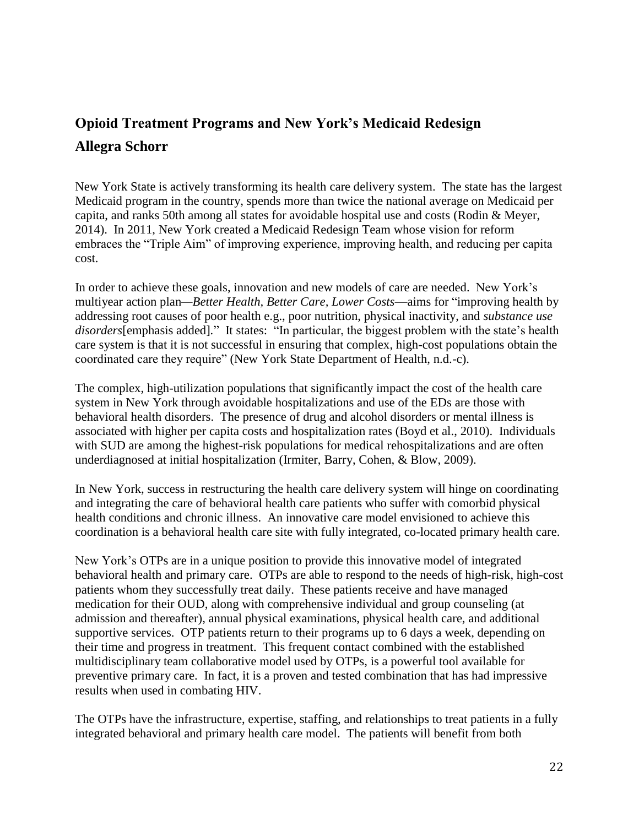# **Opioid Treatment Programs and New York's Medicaid Redesign Allegra Schorr**

New York State is actively transforming its health care delivery system. The state has the largest Medicaid program in the country, spends more than twice the national average on Medicaid per capita, and ranks 50th among all states for avoidable hospital use and costs (Rodin & Meyer, 2014). In 2011, New York created a Medicaid Redesign Team whose vision for reform embraces the "Triple Aim" of improving experience, improving health, and reducing per capita cost.

In order to achieve these goals, innovation and new models of care are needed. New York's multiyear action plan*—Better Health, Better Care, Lower Costs*—aims for "improving health by addressing root causes of poor health e.g., poor nutrition, physical inactivity, and *substance use disorders*[emphasis added]*.*" It states: "In particular, the biggest problem with the state's health care system is that it is not successful in ensuring that complex, high-cost populations obtain the coordinated care they require" (New York State Department of Health, n.d.-c).

The complex, high-utilization populations that significantly impact the cost of the health care system in New York through avoidable hospitalizations and use of the EDs are those with behavioral health disorders. The presence of drug and alcohol disorders or mental illness is associated with higher per capita costs and hospitalization rates (Boyd et al., 2010). Individuals with SUD are among the highest-risk populations for medical rehospitalizations and are often underdiagnosed at initial hospitalization (Irmiter, Barry, Cohen, & Blow, 2009).

In New York, success in restructuring the health care delivery system will hinge on coordinating and integrating the care of behavioral health care patients who suffer with comorbid physical health conditions and chronic illness. An innovative care model envisioned to achieve this coordination is a behavioral health care site with fully integrated, co-located primary health care.

New York's OTPs are in a unique position to provide this innovative model of integrated behavioral health and primary care. OTPs are able to respond to the needs of high-risk, high-cost patients whom they successfully treat daily. These patients receive and have managed medication for their OUD, along with comprehensive individual and group counseling (at admission and thereafter), annual physical examinations, physical health care, and additional supportive services. OTP patients return to their programs up to 6 days a week, depending on their time and progress in treatment. This frequent contact combined with the established multidisciplinary team collaborative model used by OTPs, is a powerful tool available for preventive primary care. In fact, it is a proven and tested combination that has had impressive results when used in combating HIV.

The OTPs have the infrastructure, expertise, staffing, and relationships to treat patients in a fully integrated behavioral and primary health care model. The patients will benefit from both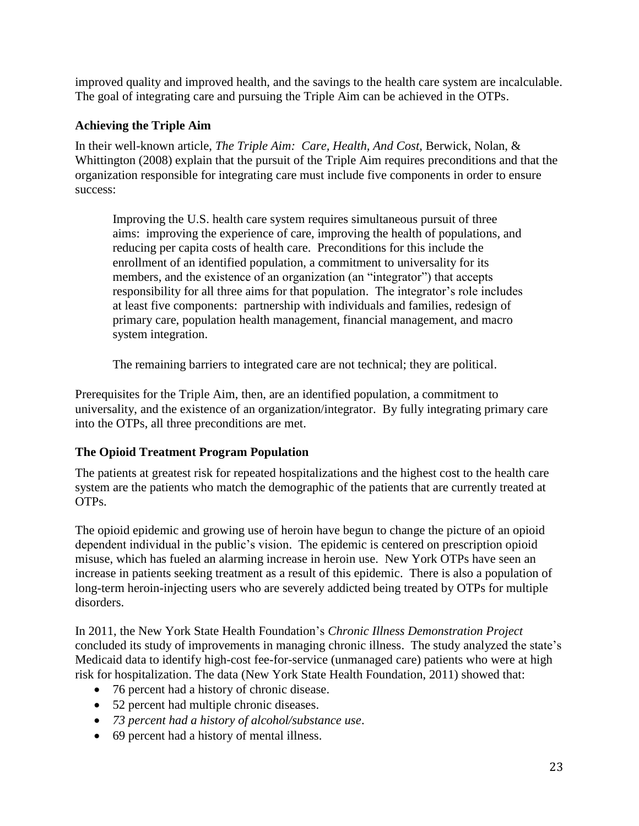improved quality and improved health, and the savings to the health care system are incalculable. The goal of integrating care and pursuing the Triple Aim can be achieved in the OTPs.

## **Achieving the Triple Aim**

In their well-known article, *The Triple Aim: Care, Health, And Cost*, Berwick, Nolan, & Whittington (2008) explain that the pursuit of the Triple Aim requires preconditions and that the organization responsible for integrating care must include five components in order to ensure success:

Improving the U.S. health care system requires simultaneous pursuit of three aims: improving the experience of care, improving the health of populations, and reducing per capita costs of health care. Preconditions for this include the enrollment of an identified population, a commitment to universality for its members, and the existence of an organization (an "integrator") that accepts responsibility for all three aims for that population. The integrator's role includes at least five components: partnership with individuals and families, redesign of primary care, population health management, financial management, and macro system integration.

The remaining barriers to integrated care are not technical; they are political.

Prerequisites for the Triple Aim, then, are an identified population, a commitment to universality, and the existence of an organization/integrator. By fully integrating primary care into the OTPs, all three preconditions are met.

## **The Opioid Treatment Program Population**

The patients at greatest risk for repeated hospitalizations and the highest cost to the health care system are the patients who match the demographic of the patients that are currently treated at OTPs.

The opioid epidemic and growing use of heroin have begun to change the picture of an opioid dependent individual in the public's vision. The epidemic is centered on prescription opioid misuse, which has fueled an alarming increase in heroin use. New York OTPs have seen an increase in patients seeking treatment as a result of this epidemic. There is also a population of long-term heroin-injecting users who are severely addicted being treated by OTPs for multiple disorders.

In 2011, the New York State Health Foundation's *Chronic Illness Demonstration Project* concluded its study of improvements in managing chronic illness. The study analyzed the state's Medicaid data to identify high-cost fee-for-service (unmanaged care) patients who were at high risk for hospitalization. The data (New York State Health Foundation, 2011) showed that:

- 76 percent had a history of chronic disease.
- 52 percent had multiple chronic diseases.
- *73 percent had a history of alcohol/substance use*.
- 69 percent had a history of mental illness.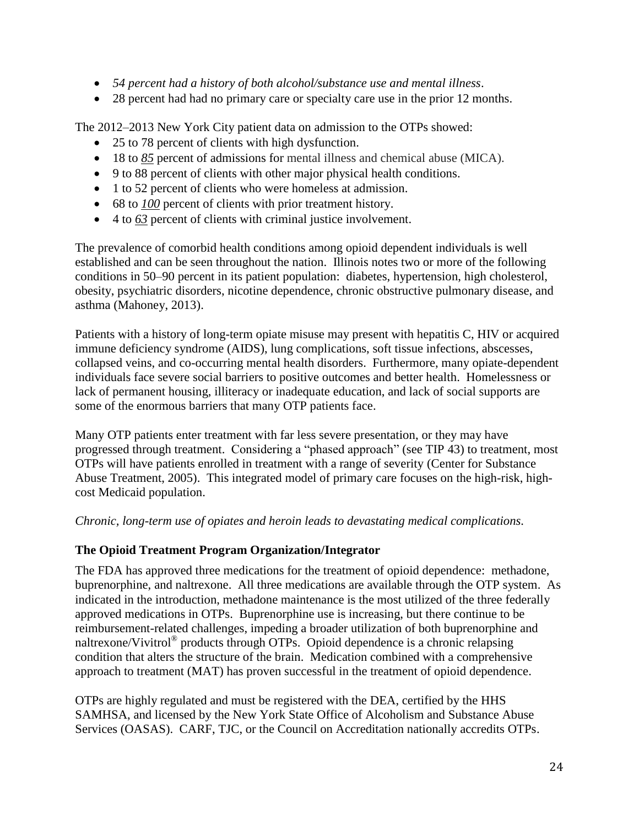- *54 percent had a history of both alcohol/substance use and mental illness*.
- 28 percent had had no primary care or specialty care use in the prior 12 months.

The 2012–2013 New York City patient data on admission to the OTPs showed:

- 25 to 78 percent of clients with high dysfunction.
- 18 to <u>85</u> percent of admissions for mental illness and chemical abuse (MICA).
- 9 to 88 percent of clients with other major physical health conditions.
- 1 to 52 percent of clients who were homeless at admission.
- 68 to *100* percent of clients with prior treatment history.
- 4 to *63* percent of clients with criminal justice involvement.

The prevalence of comorbid health conditions among opioid dependent individuals is well established and can be seen throughout the nation. Illinois notes two or more of the following conditions in 50–90 percent in its patient population: diabetes, hypertension, high cholesterol, obesity, psychiatric disorders, nicotine dependence, chronic obstructive pulmonary disease, and asthma (Mahoney, 2013).

Patients with a history of long-term opiate misuse may present with hepatitis C, HIV or acquired immune deficiency syndrome (AIDS), lung complications, soft tissue infections, abscesses, collapsed veins, and co-occurring mental health disorders. Furthermore, many opiate-dependent individuals face severe social barriers to positive outcomes and better health. Homelessness or lack of permanent housing, illiteracy or inadequate education, and lack of social supports are some of the enormous barriers that many OTP patients face.

Many OTP patients enter treatment with far less severe presentation, or they may have progressed through treatment. Considering a "phased approach" (see TIP 43) to treatment, most OTPs will have patients enrolled in treatment with a range of severity (Center for Substance Abuse Treatment, 2005). This integrated model of primary care focuses on the high-risk, highcost Medicaid population.

*Chronic, long-term use of opiates and heroin leads to devastating medical complications.* 

#### **The Opioid Treatment Program Organization/Integrator**

The FDA has approved three medications for the treatment of opioid dependence: methadone, buprenorphine, and naltrexone. All three medications are available through the OTP system. As indicated in the introduction, methadone maintenance is the most utilized of the three federally approved medications in OTPs. Buprenorphine use is increasing, but there continue to be reimbursement-related challenges, impeding a broader utilization of both buprenorphine and naltrexone/Vivitrol<sup>®</sup> products through OTPs. Opioid dependence is a chronic relapsing condition that alters the structure of the brain. Medication combined with a comprehensive approach to treatment (MAT) has proven successful in the treatment of opioid dependence.

OTPs are highly regulated and must be registered with the DEA, certified by the HHS SAMHSA, and licensed by the New York State Office of Alcoholism and Substance Abuse Services (OASAS). CARF, TJC, or the Council on Accreditation nationally accredits OTPs.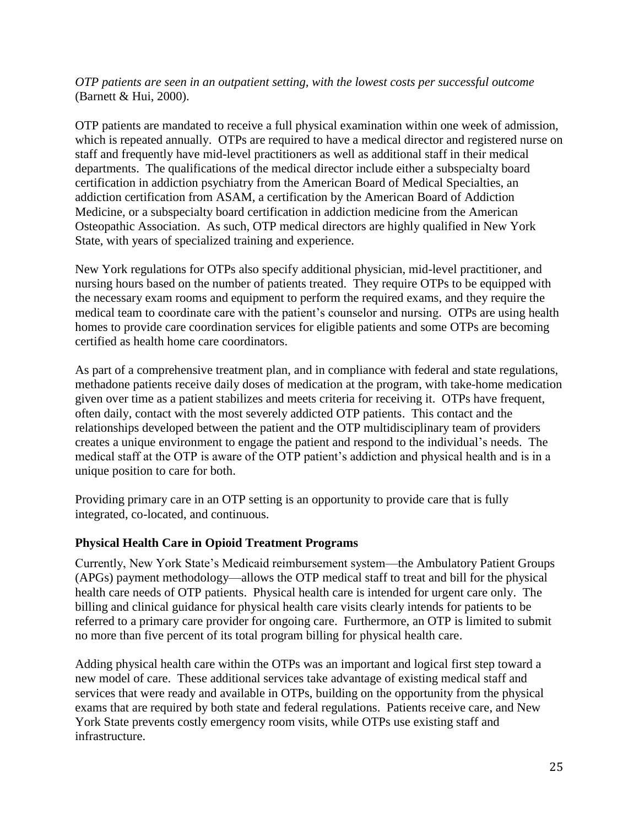*OTP patients are seen in an outpatient setting, with the lowest costs per successful outcome* (Barnett & Hui, 2000).

OTP patients are mandated to receive a full physical examination within one week of admission, which is repeated annually. OTPs are required to have a medical director and registered nurse on staff and frequently have mid-level practitioners as well as additional staff in their medical departments. The qualifications of the medical director include either a subspecialty board certification in addiction psychiatry from the American Board of Medical Specialties, an addiction certification from ASAM, a certification by the American Board of Addiction Medicine, or a subspecialty board certification in addiction medicine from the American Osteopathic Association. As such, OTP medical directors are highly qualified in New York State, with years of specialized training and experience.

New York regulations for OTPs also specify additional physician, mid-level practitioner, and nursing hours based on the number of patients treated. They require OTPs to be equipped with the necessary exam rooms and equipment to perform the required exams, and they require the medical team to coordinate care with the patient's counselor and nursing. OTPs are using health homes to provide care coordination services for eligible patients and some OTPs are becoming certified as health home care coordinators.

As part of a comprehensive treatment plan, and in compliance with federal and state regulations, methadone patients receive daily doses of medication at the program, with take-home medication given over time as a patient stabilizes and meets criteria for receiving it. OTPs have frequent, often daily, contact with the most severely addicted OTP patients. This contact and the relationships developed between the patient and the OTP multidisciplinary team of providers creates a unique environment to engage the patient and respond to the individual's needs. The medical staff at the OTP is aware of the OTP patient's addiction and physical health and is in a unique position to care for both.

Providing primary care in an OTP setting is an opportunity to provide care that is fully integrated, co-located, and continuous.

#### **Physical Health Care in Opioid Treatment Programs**

Currently, New York State's Medicaid reimbursement system—the Ambulatory Patient Groups (APGs) payment methodology—allows the OTP medical staff to treat and bill for the physical health care needs of OTP patients. Physical health care is intended for urgent care only. The billing and clinical guidance for physical health care visits clearly intends for patients to be referred to a primary care provider for ongoing care. Furthermore, an OTP is limited to submit no more than five percent of its total program billing for physical health care.

Adding physical health care within the OTPs was an important and logical first step toward a new model of care. These additional services take advantage of existing medical staff and services that were ready and available in OTPs, building on the opportunity from the physical exams that are required by both state and federal regulations. Patients receive care, and New York State prevents costly emergency room visits, while OTPs use existing staff and infrastructure.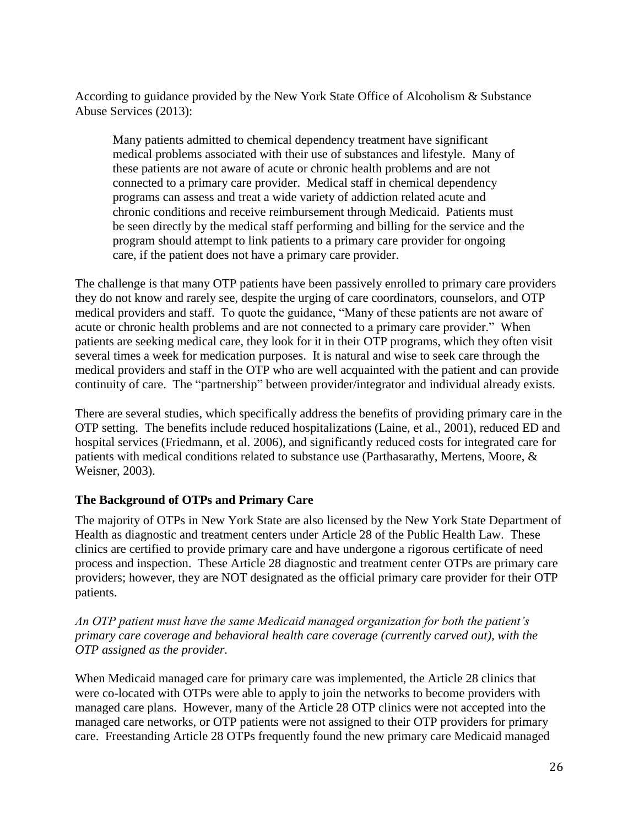According to guidance provided by the New York State Office of Alcoholism & Substance Abuse Services (2013):

Many patients admitted to chemical dependency treatment have significant medical problems associated with their use of substances and lifestyle. Many of these patients are not aware of acute or chronic health problems and are not connected to a primary care provider. Medical staff in chemical dependency programs can assess and treat a wide variety of addiction related acute and chronic conditions and receive reimbursement through Medicaid. Patients must be seen directly by the medical staff performing and billing for the service and the program should attempt to link patients to a primary care provider for ongoing care, if the patient does not have a primary care provider.

The challenge is that many OTP patients have been passively enrolled to primary care providers they do not know and rarely see, despite the urging of care coordinators, counselors, and OTP medical providers and staff. To quote the guidance, "Many of these patients are not aware of acute or chronic health problems and are not connected to a primary care provider."When patients are seeking medical care, they look for it in their OTP programs, which they often visit several times a week for medication purposes. It is natural and wise to seek care through the medical providers and staff in the OTP who are well acquainted with the patient and can provide continuity of care. The "partnership" between provider/integrator and individual already exists.

There are several studies, which specifically address the benefits of providing primary care in the OTP setting. The benefits include reduced hospitalizations (Laine, et al., 2001), reduced ED and hospital services (Friedmann, et al. 2006), and significantly reduced costs for integrated care for patients with medical conditions related to substance use [\(Parthasarathy,](http://www.ncbi.nlm.nih.gov/pubmed?term=Parthasarathy%20S%5BAuthor%5D&cauthor=true&cauthor_uid=12618639) [Mertens,](http://www.ncbi.nlm.nih.gov/pubmed?term=Mertens%20J%5BAuthor%5D&cauthor=true&cauthor_uid=12618639) [Moore,](http://www.ncbi.nlm.nih.gov/pubmed?term=Moore%20C%5BAuthor%5D&cauthor=true&cauthor_uid=12618639) & [Weisner,](http://www.ncbi.nlm.nih.gov/pubmed?term=Weisner%20C%5BAuthor%5D&cauthor=true&cauthor_uid=12618639) 2003).

#### **The Background of OTPs and Primary Care**

The majority of OTPs in New York State are also licensed by the New York State Department of Health as diagnostic and treatment centers under Article 28 of the Public Health Law. These clinics are certified to provide primary care and have undergone a rigorous certificate of need process and inspection. These Article 28 diagnostic and treatment center OTPs are primary care providers; however, they are NOT designated as the official primary care provider for their OTP patients.

*An OTP patient must have the same Medicaid managed organization for both the patient's primary care coverage and behavioral health care coverage (currently carved out), with the OTP assigned as the provider.* 

When Medicaid managed care for primary care was implemented, the Article 28 clinics that were co-located with OTPs were able to apply to join the networks to become providers with managed care plans. However, many of the Article 28 OTP clinics were not accepted into the managed care networks, or OTP patients were not assigned to their OTP providers for primary care. Freestanding Article 28 OTPs frequently found the new primary care Medicaid managed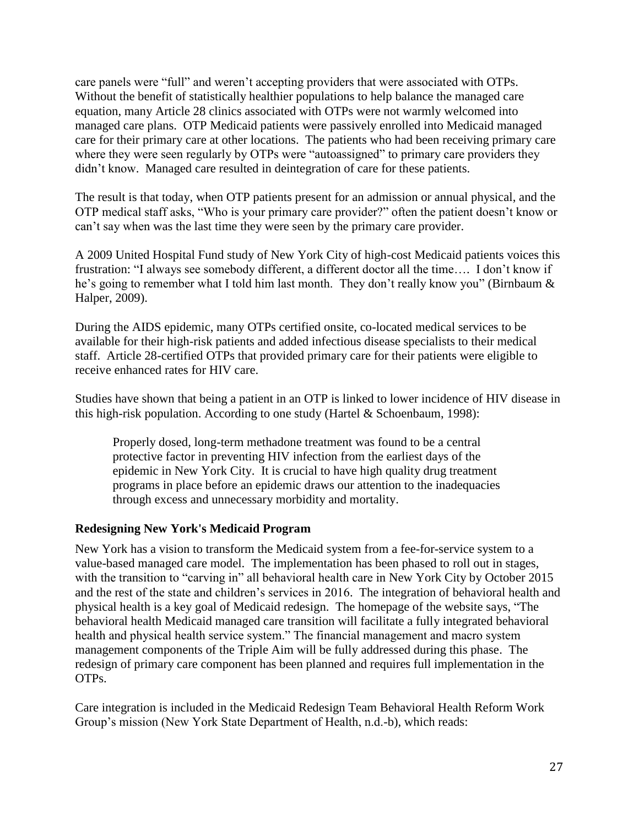care panels were "full" and weren't accepting providers that were associated with OTPs. Without the benefit of statistically healthier populations to help balance the managed care equation, many Article 28 clinics associated with OTPs were not warmly welcomed into managed care plans. OTP Medicaid patients were passively enrolled into Medicaid managed care for their primary care at other locations. The patients who had been receiving primary care where they were seen regularly by OTPs were "autoassigned" to primary care providers they didn't know. Managed care resulted in deintegration of care for these patients.

The result is that today, when OTP patients present for an admission or annual physical, and the OTP medical staff asks, "Who is your primary care provider?" often the patient doesn't know or can't say when was the last time they were seen by the primary care provider.

A 2009 United Hospital Fund study of New York City of high-cost Medicaid patients voices this frustration: "I always see somebody different, a different doctor all the time…. I don't know if he's going to remember what I told him last month. They don't really know you" (Birnbaum & Halper, 2009).

During the AIDS epidemic, many OTPs certified onsite, co-located medical services to be available for their high-risk patients and added infectious disease specialists to their medical staff. Article 28-certified OTPs that provided primary care for their patients were eligible to receive enhanced rates for HIV care.

Studies have shown that being a patient in an OTP is linked to lower incidence of HIV disease in this high-risk population. According to one study (Hartel & Schoenbaum, 1998):

Properly dosed, long-term methadone treatment was found to be a central protective factor in preventing HIV infection from the earliest days of the epidemic in New York City. It is crucial to have high quality drug treatment programs in place before an epidemic draws our attention to the inadequacies through excess and unnecessary morbidity and mortality.

#### **Redesigning New York's Medicaid Program**

New York has a vision to transform the Medicaid system from a fee-for-service system to a value-based managed care model. The implementation has been phased to roll out in stages, with the transition to "carving in" all behavioral health care in New York City by October 2015 and the rest of the state and children's services in 2016. The integration of behavioral health and physical health is a key goal of Medicaid redesign. The homepage of the website says, "The behavioral health Medicaid managed care transition will facilitate a fully integrated behavioral health and physical health service system." The financial management and macro system management components of the Triple Aim will be fully addressed during this phase. The redesign of primary care component has been planned and requires full implementation in the OTPs.

Care integration is included in the Medicaid Redesign Team Behavioral Health Reform Work Group's mission (New York State Department of Health, n.d.-b), which reads: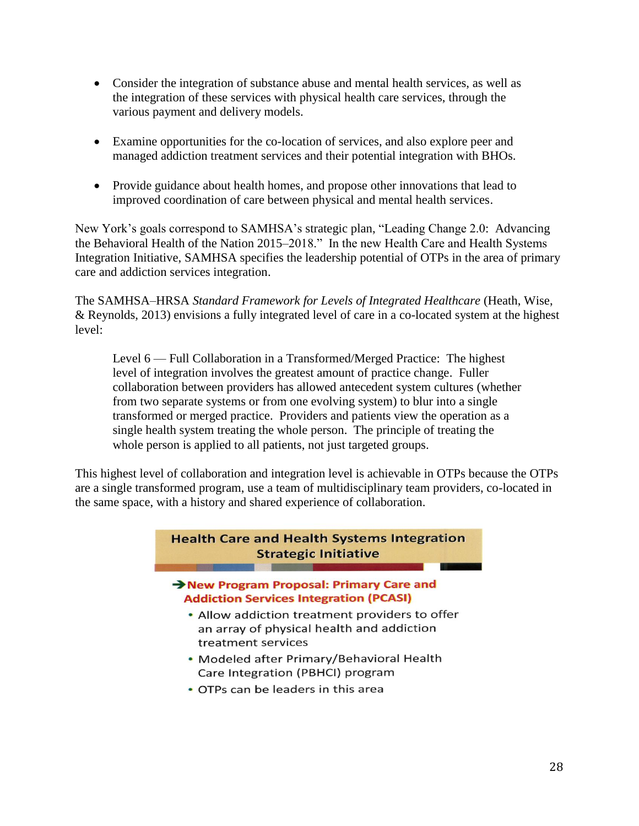- Consider the integration of substance abuse and mental health services, as well as the integration of these services with physical health care services, through the various payment and delivery models.
- Examine opportunities for the co-location of services, and also explore peer and managed addiction treatment services and their potential integration with BHOs.
- Provide guidance about health homes, and propose other innovations that lead to improved coordination of care between physical and mental health services.

New York's goals correspond to SAMHSA's strategic plan, "Leading Change 2.0: Advancing the Behavioral Health of the Nation 2015–2018." In the new Health Care and Health Systems Integration Initiative, SAMHSA specifies the leadership potential of OTPs in the area of primary care and addiction services integration.

The SAMHSA–HRSA *Standard Framework for Levels of Integrated Healthcare* (Heath, Wise, & Reynolds, 2013) envisions a fully integrated level of care in a co-located system at the highest level:

Level 6 — Full Collaboration in a Transformed/Merged Practice: The highest level of integration involves the greatest amount of practice change. Fuller collaboration between providers has allowed antecedent system cultures (whether from two separate systems or from one evolving system) to blur into a single transformed or merged practice. Providers and patients view the operation as a single health system treating the whole person. The principle of treating the whole person is applied to all patients, not just targeted groups.

This highest level of collaboration and integration level is achievable in OTPs because the OTPs are a single transformed program, use a team of multidisciplinary team providers, co-located in the same space, with a history and shared experience of collaboration.

#### **Health Care and Health Systems Integration Strategic Initiative CONTRACTOR**

#### New Program Proposal: Primary Care and **Addiction Services Integration (PCASI)**

- Allow addiction treatment providers to offer an array of physical health and addiction treatment services
- Modeled after Primary/Behavioral Health Care Integration (PBHCI) program
- OTPs can be leaders in this area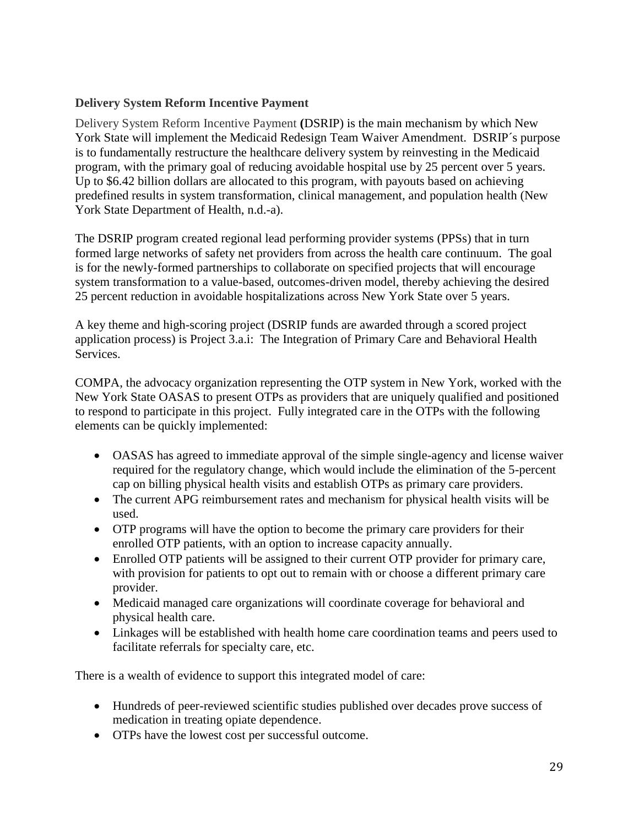## **Delivery System Reform Incentive Payment**

Delivery System Reform Incentive Payment **(**DSRIP) is the main mechanism by which New York State will implement the Medicaid Redesign Team Waiver Amendment. DSRIP´s purpose is to fundamentally restructure the healthcare delivery system by reinvesting in the Medicaid program, with the primary goal of reducing avoidable hospital use by 25 percent over 5 years. Up to \$6.42 billion dollars are allocated to this program, with payouts based on achieving predefined results in system transformation, clinical management, and population health (New York State Department of Health, n.d.-a).

The DSRIP program created regional lead performing provider systems (PPSs) that in turn formed large networks of safety net providers from across the health care continuum. The goal is for the newly-formed partnerships to collaborate on specified projects that will encourage system transformation to a value-based, outcomes-driven model, thereby achieving the desired 25 percent reduction in avoidable hospitalizations across New York State over 5 years.

A key theme and high-scoring project (DSRIP funds are awarded through a scored project application process) is Project 3.a.i: The Integration of Primary Care and Behavioral Health Services.

COMPA, the advocacy organization representing the OTP system in New York, worked with the New York State OASAS to present OTPs as providers that are uniquely qualified and positioned to respond to participate in this project. Fully integrated care in the OTPs with the following elements can be quickly implemented:

- OASAS has agreed to immediate approval of the simple single-agency and license waiver required for the regulatory change, which would include the elimination of the 5-percent cap on billing physical health visits and establish OTPs as primary care providers.
- The current APG reimbursement rates and mechanism for physical health visits will be used.
- OTP programs will have the option to become the primary care providers for their enrolled OTP patients, with an option to increase capacity annually.
- Enrolled OTP patients will be assigned to their current OTP provider for primary care, with provision for patients to opt out to remain with or choose a different primary care provider.
- Medicaid managed care organizations will coordinate coverage for behavioral and physical health care.
- Linkages will be established with health home care coordination teams and peers used to facilitate referrals for specialty care, etc.

There is a wealth of evidence to support this integrated model of care:

- Hundreds of peer-reviewed scientific studies published over decades prove success of medication in treating opiate dependence.
- OTPs have the lowest cost per successful outcome.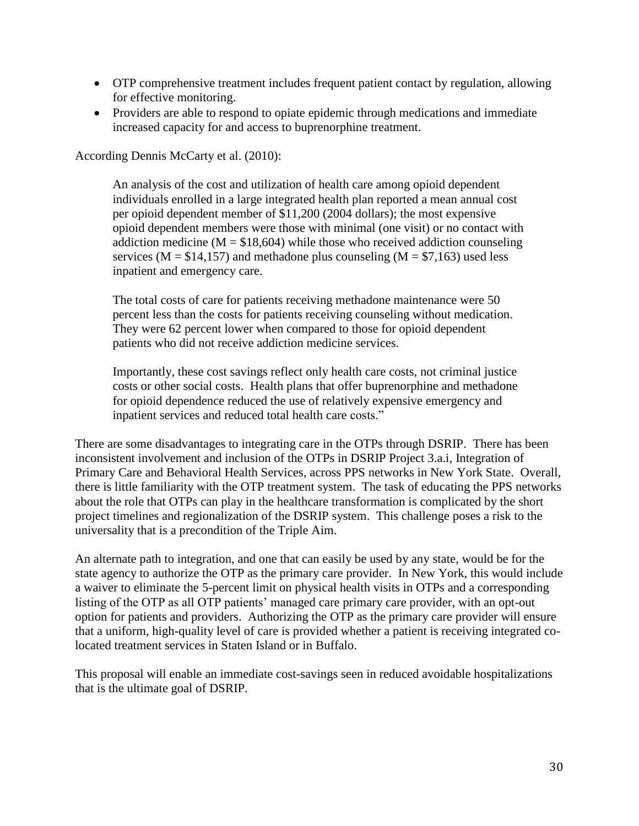- OTP comprehensive treatment includes frequent patient contact by regulation, allowing for effective monitoring.
- Providers are able to respond to opiate epidemic through medications and immediate increased capacity for and access to buprenorphine treatment.

According Dennis McCarty et al. (2010):

An analysis of the cost and utilization of health care among opioid dependent individuals enrolled in a large integrated health plan reported a mean annual cost per opioid dependent member of \$11,200 (2004 dollars); the most expensive opioid dependent members were those with minimal (one visit) or no contact with addiction medicine ( $M = $18,604$ ) while those who received addiction counseling services ( $M = $14,157$ ) and methadone plus counseling ( $M = $7,163$ ) used less inpatient and emergency care.

The total costs of care for patients receiving methadone maintenance were 50 percent less than the costs for patients receiving counseling without medication. They were 62 percent lower when compared to those for opioid dependent patients who did not receive addiction medicine services.

Importantly, these cost savings reflect only health care costs, not criminal justice costs or other social costs. Health plans that offer buprenorphine and methadone for opioid dependence reduced the use of relatively expensive emergency and inpatient services and reduced total health care costs."

There are some disadvantages to integrating care in the OTPs through DSRIP. There has been inconsistent involvement and inclusion of the OTPs in DSRIP Project 3.a.i, Integration of Primary Care and Behavioral Health Services, across PPS networks in New York State. Overall, there is little familiarity with the OTP treatment system. The task of educating the PPS networks about the role that OTPs can play in the healthcare transformation is complicated by the short project timelines and regionalization of the DSRIP system. This challenge poses a risk to the universality that is a precondition of the Triple Aim.

An alternate path to integration, and one that can easily be used by any state, would be for the state agency to authorize the OTP as the primary care provider. In New York, this would include a waiver to eliminate the 5-percent limit on physical health visits in OTPs and a corresponding listing of the OTP as all OTP patients' managed care primary care provider, with an opt-out option for patients and providers. Authorizing the OTP as the primary care provider will ensure that a uniform, high-quality level of care is provided whether a patient is receiving integrated colocated treatment services in Staten Island or in Buffalo.

This proposal will enable an immediate cost-savings seen in reduced avoidable hospitalizations that is the ultimate goal of DSRIP.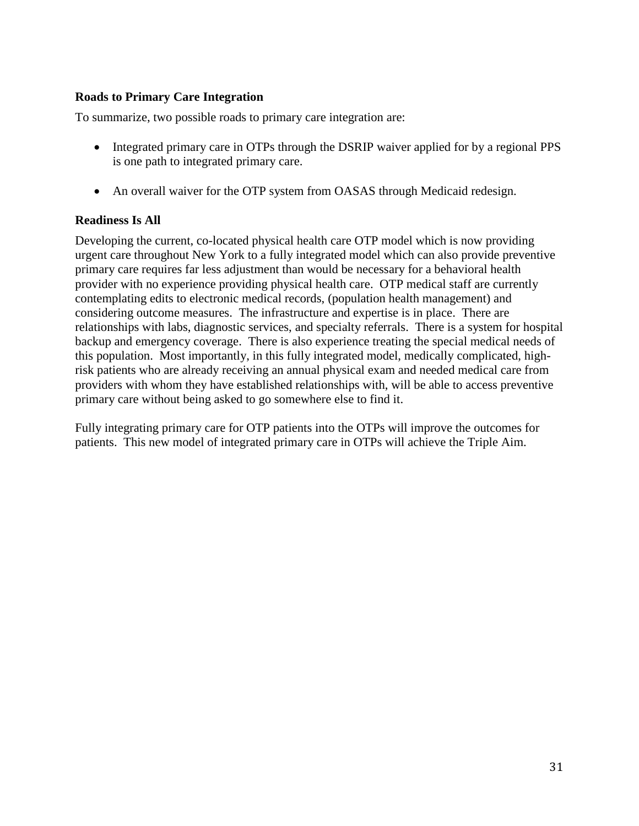#### **Roads to Primary Care Integration**

To summarize, two possible roads to primary care integration are:

- Integrated primary care in OTPs through the DSRIP waiver applied for by a regional PPS is one path to integrated primary care.
- An overall waiver for the OTP system from OASAS through Medicaid redesign.

## **Readiness Is All**

Developing the current, co-located physical health care OTP model which is now providing urgent care throughout New York to a fully integrated model which can also provide preventive primary care requires far less adjustment than would be necessary for a behavioral health provider with no experience providing physical health care. OTP medical staff are currently contemplating edits to electronic medical records, (population health management) and considering outcome measures. The infrastructure and expertise is in place. There are relationships with labs, diagnostic services, and specialty referrals. There is a system for hospital backup and emergency coverage. There is also experience treating the special medical needs of this population. Most importantly, in this fully integrated model, medically complicated, highrisk patients who are already receiving an annual physical exam and needed medical care from providers with whom they have established relationships with, will be able to access preventive primary care without being asked to go somewhere else to find it.

Fully integrating primary care for OTP patients into the OTPs will improve the outcomes for patients. This new model of integrated primary care in OTPs will achieve the Triple Aim.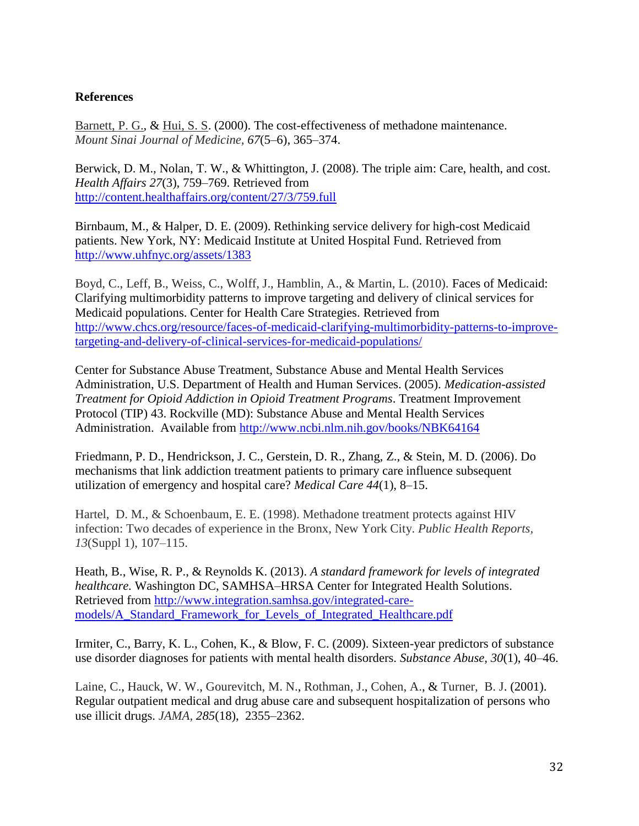#### **References**

[Barnett, P. G.](http://www.ncbi.nlm.nih.gov/pubmed/?term=Barnett%20PG%5BAuthor%5D&cauthor=true&cauthor_uid=11064486), & [Hui, S. S.](http://www.ncbi.nlm.nih.gov/pubmed/?term=Hui%20SS%5BAuthor%5D&cauthor=true&cauthor_uid=11064486) (2000). The cost-effectiveness of methadone maintenance. *Mount Sinai Journal of Medicine, 67*(5–6), 365–374.

Berwick, D. M., Nolan, T. W., & Whittington, J. (2008). The triple aim: Care, health, and cost. *Health Affairs 27*(3), 759–769. Retrieved from <http://content.healthaffairs.org/content/27/3/759.full>

Birnbaum, M., & Halper, D. E. (2009). Rethinking service delivery for high-cost Medicaid patients. New York, NY: Medicaid Institute at United Hospital Fund. Retrieved from <http://www.uhfnyc.org/assets/1383>

Boyd, C., Leff, B., Weiss, C., Wolff, J., Hamblin, A., & Martin, L. (2010). Faces of Medicaid: Clarifying multimorbidity patterns to improve targeting and delivery of clinical services for Medicaid populations. Center for Health Care Strategies. Retrieved from [http://www.chcs.org/resource/faces-of-medicaid-clarifying-multimorbidity-patterns-to-improve](http://www.chcs.org/resource/faces-of-medicaid-clarifying-multimorbidity-patterns-to-improve-targeting-and-delivery-of-clinical-services-for-medicaid-populations/)[targeting-and-delivery-of-clinical-services-for-medicaid-populations/](http://www.chcs.org/resource/faces-of-medicaid-clarifying-multimorbidity-patterns-to-improve-targeting-and-delivery-of-clinical-services-for-medicaid-populations/)

Center for Substance Abuse Treatment, Substance Abuse and Mental Health Services Administration, U.S. Department of Health and Human Services. (2005). *Medication-assisted Treatment for Opioid Addiction in Opioid Treatment Programs*. Treatment Improvement Protocol (TIP) 43. Rockville (MD): Substance Abuse and Mental Health Services Administration. Available from <http://www.ncbi.nlm.nih.gov/books/NBK64164>

Friedmann, P. D., Hendrickson, J. C., Gerstein, D. R., Zhang, Z., & Stein, M. D. (2006). Do mechanisms that link addiction treatment patients to primary care influence subsequent utilization of emergency and hospital care? *Medical Care 44*(1), 8–15.

Hartel, D. M., & Schoenbaum, E. E. (1998). Methadone treatment protects against HIV infection: Two decades of experience in the Bronx, New York City. *Public Health Reports, 13*(Suppl 1), 107–115.

Heath, B., Wise, R. P., & Reynolds K. (2013). *A standard framework for levels of integrated healthcare.* Washington DC, SAMHSA–HRSA Center for Integrated Health Solutions. Retrieved from [http://www.integration.samhsa.gov/integrated-care](http://www.integration.samhsa.gov/integrated-care-models/A_Standard_Framework_for_Levels_of_Integrated_Healthcare.pdf)[models/A\\_Standard\\_Framework\\_for\\_Levels\\_of\\_Integrated\\_Healthcare.pdf](http://www.integration.samhsa.gov/integrated-care-models/A_Standard_Framework_for_Levels_of_Integrated_Healthcare.pdf)

Irmiter, C., Barry, K. L., Cohen, K., & Blow, F. C. (2009). Sixteen-year predictors of substance use disorder diagnoses for patients with mental health disorders. *Substance Abuse, 30*(1), 40–46.

[Laine, C.](http://www.ncbi.nlm.nih.gov/pubmed?term=Laine%20C%5BAuthor%5D&cauthor=true&cauthor_uid=11343483), [Hauck, W. W.](http://www.ncbi.nlm.nih.gov/pubmed?term=Hauck%20WW%5BAuthor%5D&cauthor=true&cauthor_uid=11343483), [Gourevitch, M. N.](http://www.ncbi.nlm.nih.gov/pubmed?term=Gourevitch%20MN%5BAuthor%5D&cauthor=true&cauthor_uid=11343483), [Rothman, J.](http://www.ncbi.nlm.nih.gov/pubmed?term=Rothman%20J%5BAuthor%5D&cauthor=true&cauthor_uid=11343483), [Cohen, A.](http://www.ncbi.nlm.nih.gov/pubmed?term=Cohen%20A%5BAuthor%5D&cauthor=true&cauthor_uid=11343483), & [Turner, B. J.](http://www.ncbi.nlm.nih.gov/pubmed?term=Turner%20BJ%5BAuthor%5D&cauthor=true&cauthor_uid=11343483) (2001). Regular outpatient medical and drug abuse care and subsequent hospitalization of persons who use illicit drugs. *JAMA, 285*(18), 2355–2362.